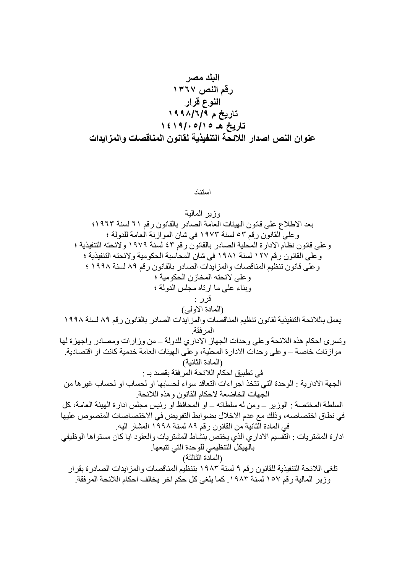استناد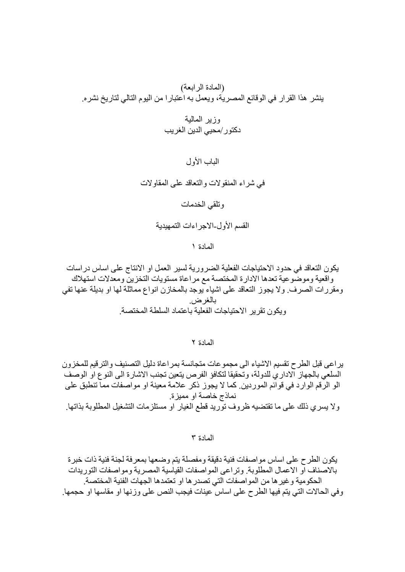الباب الأول

في شراء المنقولات والنعاقد على المقاولات

وتلقى الخدمات

القسم الأول-الاجر اءات التمهيدية

المادة ١

يكون التعاقد في حدود الاحتياجات الفعلية الضرورية لسير العمل او الانتاج على اساس دراسات واقعية وموضوعية تعدها الادارة المختصة مع مراعاة مستويات التخزين ومعدلات استهلاك ومقررات الصرف ولا يجوز التعاقد على اشياء يوجد بالمخازن انواع مماثلة لها او بديلة عنها تفي بالغرض. وبكون تقرير الاحتباجات الفعلبة باعتماد السلطة المختصبة

المادة ٢

ير اعي قبل الطرح نقسيم الاشياء الى مجموعات متجانسة بمر اعاة دليل التصنيف والتر قيم للمخزون السلعي بالجهاز الإدار ي للدولة، وتحقيقا لتكافؤ الفرص يتعين تجنب الإشار ة الى النوع او الوصف الو الرُّقم الوارد في قوائم الموردين. كما لا يجوز ذكر علامة معينة او مواصفات مماّ تنطبق على نماذج خاصة او مميزة ولا يسرى ذلك على ما تقتضيه ظروف توريد قطع الغيار او مستلزمات التشغيل المطلوبة بذاتها.

المادة ٣

يكون الطرح على اساس مو اصفات فنية دقيقة و مفصلة يتم و ضعها بمعر فة لجنة فنية ذات خبر ة بالاصناف او الاعمال المطلوبة. وتر اعي المو اصفات القياسية المصر ية و مو اصفات التور بدات الحكومية و غير ها من المو اصفات التي تصدر ها او تعتمدها الجهات الفنية المختصة. وفي الحالات التي يتم فيها الطرح على اساس عينات فيجب النص على وزنها او مقاسها او حجمها.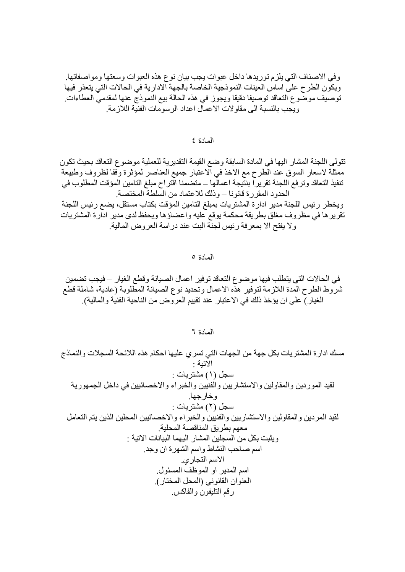وفي الاصناف الَّتي يلزم توريدها داخل عبوات يجب بيان نوع هذه العبوات وسعتها ومواصفاتها. ويكون الطرح على اساس العينات النموذجية الخاصة بالجهة الادارية في الحالات التي يتعذر فيها توصيف موضوع التعاقد توصيفا دقيقا ويجوز في هذه الحالة بيع النموذج عنها لمقدمي العطاءات. و بجب بالنسبة الى مقاو لات الاعمال اعداد الر سو مات الفنبة اللاز مة ِ

المادة ٤

تتولى اللجنة المشار اليها في المادة السابقة وضع القيمة التقديرية للعملية موضوع التعاقد بحيث تكون ممثلة لاسعار السوق عند الطرح مع الاخذ في الاعتبار جميع العناصر لمؤثرة وفقا لظروف وطبيعة تنفيذ التعاقد وتر فع اللجنة تقريراً بنتّيجة اعمالّها ــ متضمنا اقتراح مبلغ التامين المؤقت المطلوب في الحدود المقررة قانونا – وذلك للاعتماد من السلطة المختصة.

ويخطر ر ئيس اللجنة مدير ادار ة المشتر يات بمبلغ التامين المؤ قت بكتاب مستقل، يضع ر ئيس اللجنة تقرير ها في مظروف مغلق بطريقة محكمة يوقع عليه واعضاؤ ها ويحفظ لدى مدير ادارة المشتريات وِ لا يفتح الا بمعر فة رئيس لجنة البت عند در اسة العروض المالية.

المادة ٥

في الحالات التي يتطلب فيها موضوع التعاقد توفير اعمال الصيانة وقطع الغيار – فيجب تضمين شروط الطرح المدة اللازمة لتوفير هذه الاعمال وتحديد نوع الصيانة المطلوبة (عادية، شاملة قطع الغيار ) على ان يؤخذ ذلك في الاعتبار ٍ عند تقييم العر وض من الناحية الفنية و المالية).

المادة ٦

مسك ادار ة المشتريات بكل جهة من الجهات التي تسري عليها احكام هذه اللائحة السجلات والنماذج الاتنة · سجل (۱) مشتر يات : لقيد الموردين والمقاولين والاستشاريين والفنيين والخبراء والاخصائيين في داخل الجمهورية و خارجها. سجل (٢) مشتريات : لقيد المردين والمقاولين والاستشاريين والفنيين والخبراء والاخصائيين المحلين الذين يتم التعامل معهم بطريق المناقصة المحلية ويثبت بكل من السجلين المشار اليهما البيانات الاتية : اسم صـاحب النشاط واسم الشهرة ان وجد. الاسم التجاري. اسم المدير او الموظف المسئول. العنوان القانوني (المحل المختار). رقم التليفون والفاكس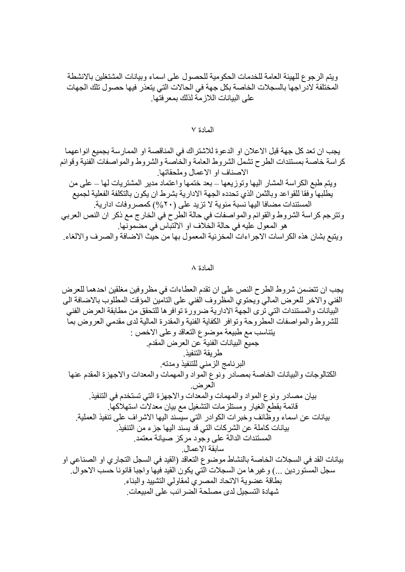ويتم الرجوع للهيئة العامة للخدمات الحكومية للحصول على اسماء وبيانات المشتغلين بالانشطة<br>المختلفة لادر اجها بالسجلات الخاصة بكل جهة في الحالات التي يتعذر فيها حصول تلك الجهات<br>على البيانات اللازمة لذلك بمعرفتها

## المادة ٧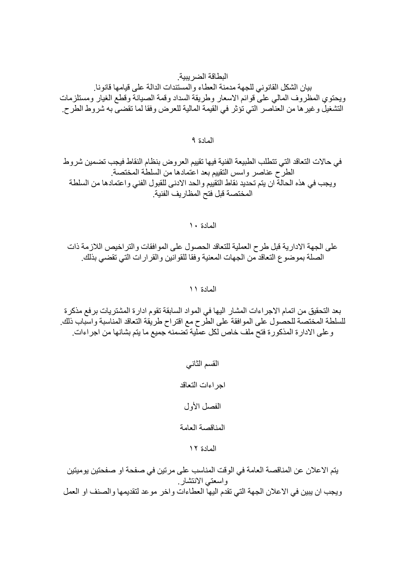# البطاقة الضر ببية

بيان الشكل القانوني للجهة مدمنة العطاء والمستندات الدالة على قيامها قانونا. ويحتوى المظروف المالى على قوائم الاسعار وطريقة السداد وقمة الصيانة وقطع الغيار ومستلزمات التشغيل و غير ها من العناصر التي تؤثر في القيمة المالية للعرض وفقا لما تقضي به شروط الطرح.

## المادة ٩

# في حالات التعاقد التي تتطلب الطبيعة الفنية فيها تقييم العروض بنظام النقاط فيجب تضمين شروط الطرح عناصر واسس التقييم بعد اعتمادها من السلطة المختصة ويجب في هذه الحالة ان يتم تحديد نقاط التقييم والحد الادني للقبول الفني واعتمادها من السلطة المختصة قبل فتح المظار يف الفنية

المعادة ١٠

على الجهة الادارية قبل طرح العملية للتعاقد الحصول على الموافقات والتراخيص اللازمة ذات الصلة بموضوع التعاقد من الجهات المعنية وفقا للقوانين والقرارات التي تقضي بذلك

المادة ١١

بعد التحقيق من اتمام الاجر اءات المشار اليها في المواد السابقة تقوم ادار ة المشتريات بر فع مذكر ة للسلطة المختصة للحصول على الموافقة على الطَّرح مع اقتراح طريقة التعاقد المناسبة واسباب ذلك. و على الادار ة المذكور ة فتح ملف خاص لكل عملية تضمنه جميع ما يتم بشانها من اجر اءات.

- القسم الثاني اجر اءات التعاقد الفصل الأول المناقصة العامة
	- المادة ١٢

يتم الاعلان عن المناقصة العامة في الوقت المناسب على مرتين في صفحة او صفحتين يوميتين واسعتي الانتشار ويجب ان يبين في الاعلان الجهة التي تقدم اليها العطاءات واخر موعد لتقديمها والصنف او العمل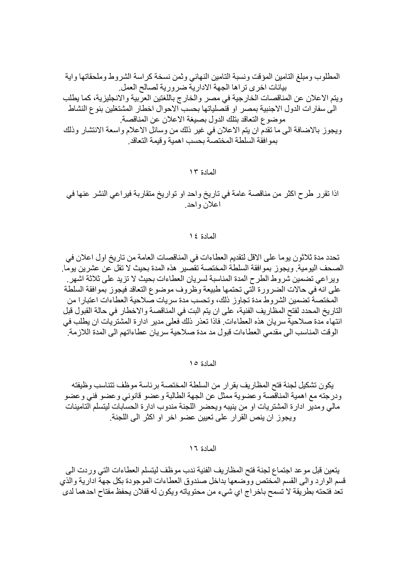اذا تقرر طرح اكثر من مناقصة عامة في تاريخ واحد او تواريخ متقاربة فيراعي النشر عنها في اعلان واحد

#### المادة ١٤

تحدد مدة ثلاثون يوما على الاقل لتقديم العطاءات في المناقصات العامة من تاريخ اول اعلان في الصحف اليومية. ويجوز بموافقة السلطة المختصة تقصير هذه المدة بحيث لا تقل عن عشرين يوما. وير اعي تضمين شروط الطرح المدة المناسبة لسريان العطاءات بحيث لا تزيد على ثلاثة اشهر . على انه ّفي حالات الضرورة الّتي تحتمها طبيعة وظروف موضوع التعاقد فيجوز بموافقة السلطة المختصة تضمين الشروط مدة تجاوز ذلك، وتحسب مدة سريات صلاحية العطاءات اعتبارا من التاريخ المحدد لفتح المظاريف الفنية، على ان يتم البت في المناقصة والاخطار في حالة القبول قبل انتهاء مدة صلاحية سريان هذه العطاءات. فاذا تعذر ذلك فعلى مدير ادارة المشتريات ان يطلب في الوقت المناسب الى مقدمي العطاءات قبول مد مدة صلاحية سريان عطاءاتهم الى المدة اللاز مة.

المادة ١٥

يكون تشكيل لجنة فتح المظار يف بقر ار ٍ من السلطة المختصبة بر ئاسة مو ظف تتناسب و ظيفته ودرجته مع اهمية المناقصة وعضوية ممثل عن الجهة الطالبة وعضو قانوني وعضو فني وعضو مالي ومدير ادار ة المشتريات او من ينيبه ويحضر اللجنة مندوب ادار ة الحسابات ليتسلم التامينات ويجوز ان ينص القرار على تعيين عضو اخر او اكثر الى اللجنة.

المادة ١٦

يتعين قبل موعد اجتماع لجنة فتح المظاريف الفنية ندب موظف ليتسلم العطاءات التي وردت الي قسم الوارد والى القسم المختص ووضعها بداخل صندوق العطاءات الموجودة بكل جهة ادارية والذي تعد فتحته بطريقة لا تسمح باخراج اي شيء من محتوياته ويكون له قفلان يحفظ مفتاح احدهما لدي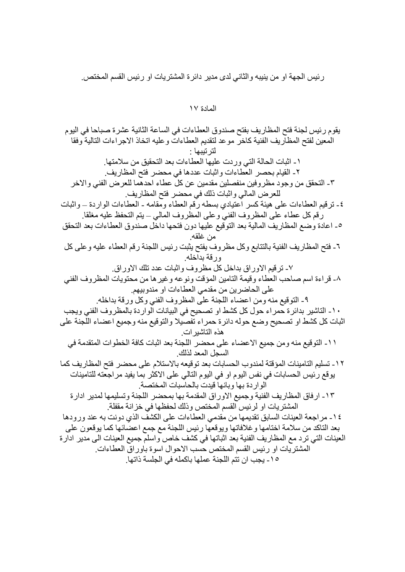رئيس الجهة او من ينيبه والثاني لدى مدير دائرة المشتريات او رئيس القسم المختص.

المادة ١٧

يقوم رئيس لجنة فتح المظاريف بفتح صندوق العطاءات في الساعة الثانية عشر ة صباحا في اليوم المعين لفتح المظاريف الفنية كاخر موعد لتقديم العطاءات وعليه اتخاذ الاجراءات التالية وفقا لتر تبيها : ١- اثبات الحالة التي وردت عليها العطاءات بعد التحقيق من سلامتها. ٢- القيام بحصر العطاءات واثبات عددها في محضر فتح المظاريف. ٣- التحقق من وجود مظر وفين منفصلين مقدمين عن كل عطاء احدهما للعرض الفني والاخر للعرض المالي واثبات ذلك في محضر فتح المظاريف. ٤- تر قيم العطاءات على هيئة كسر اعتيادي بسطه ر قم العطاء و مقامه - العطاءات الو ار دة ــ و اثبات رَّقِم كلِّ عطاء على المظروف الفنيِّ وعلى المظروف المالي – يتم التحفظ عليه مغلقا. ٥- اعادة وضع المظاريف المالية بعد التوقيع عليها دون فتحها داخل صندوق العطاءات بعد التحقق من غلقه. ٦- فتح المظاريف الفنية بالتتابع وكل مظروف يفتح يثبت رئيس اللجنة رقم العطاء عليه وعلى كل ورقة بداخله ٧- ترقيم الاوراق بداخل كل مظروف واثبات عدد تلك الاوراق. ٨- قراءة اسم صباحب العطاء وقيمة التامين المؤقت ونوعه وغير ها من محتويات المظروف الفني على الحاضرين من مقدمي العطاءات او مندوبيهم. ٩- التوقيع منه ومن اعضاء اللجنة على المظروف الفني وكل ورقة بداخله. ١٠- الناشير بدائرة حمراء حول كل كشط او تصحيح في البيانات الواردة بالمظروف الفني ويجب اثبات كل كشط او تصحيح وضع حوله دائرة حمراء تفصيلا والتوقيع منه وجميع اعضاء اللجنة على هذه التاشير ات ١١- النوقيع منه و من جميع الاعضاء على محضر ِ اللجنة بعد اثبات كافة الخطوات المتقدمة في السجل المعد لذلك ١٢- تسليم التامينات المؤقتة لمندوب الحسابات بعد توقيعه بالاستلام على محضر فتح المظاريف كما يو قع ر ئيس الحسابات في نفس اليو م او في اليو م التالي علي الاكثر بما يفيد مر اجعته للتامينات الوار دة بها وبانها فيدت بالحاسبات المختصة. ١٣- ارفاق المظاريف الفنية وجميع الاوراق المقدمة بها بمحضر اللجنة وتسليمها لمدير ادارة المشتر يات او لر ئيس القسم المختص وذلك لحفظها في خز انـة مقفلة ِ ١٤- مراجعة العينات السابق تقديمها من مقدمي العطاءات على الكشف الذي دونت به عند ورودها بعد التاكد من سلامة اختامها و غلافاتها ويوقعها رئيس اللجنة مع جمع اعضائها كما يوقعون على العينات التي ترد مع المظاريف الفنية بعد اثباتها في كشف خاص واسلم جميع العينات الى مدير ادارة المشتريات او رئيس القسم المختص حسب الاحوال اسوة باور اق العطاءات ١٥- بجب ان تتم اللجنة عملها باكمله في الجلسة ذاتها ِ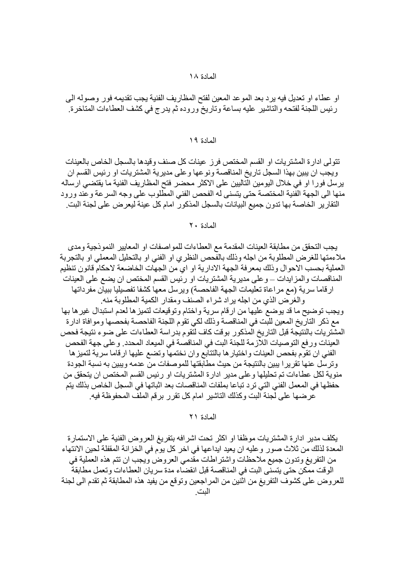او عطاء او تعديل فيه يرد بعد الموعد المعين لفتح المظاريف الفنية يجب تقديمه فور وصوله الى رئيس اللجنة لفتحه والتاشير عليه بساعة وتاريخ وروده ثم يدرج في كشف العطاءات المتاخرة.

#### المادة ١٩

تتولَّى ادارة المشتريات او القسم المختص فرز عينات كلِّ صنف وقيدها بالسجل الخاص بالعينات ويجب ان يبين بهذا السجل تاريخ المناقصة ونوعها وعلى مديرية المشتريات او رئيس القسم ان يرسل فورا او في خلال اليومين الّتاليين على الاكثر محضر فتح المظاريف الفنية ما يقتضي ارساله منها الى الجهة الفنية المختصة حتى يتسنى له الفحص الفني المطلوب على وجه السرعة وعند ورود النقار ير الخاصـة بـها تدو ن جميع البيانات بالسجل المذكو ر امام كل عينة ليعر ض على لجنة البت ِ

## المعادة ٢٠

يجب التحقق من مطابقة العينات المقدمة مع العطاءات للمواصفات او المعايير النموذجية ومدى ملاءمتها للغرض المطلوبة من اجله وذلك بالفحص النظري او الفني او بالتحليل المعملي او بالتجربة العملية بحسب الاحوال وذلك بمعرفة الجهة الادارية او اي من الجهات الخاضعة لاحكام قانون تنظيم المناقصات والمز ايدات ـــ و على مدير ية المشتر يات او رئيس القسم المختص ان يضع على العينات ارقاما سرية (مع مراعاة تعليمات الجهة الفاحصة) ويرسل معها كشفا تفصيليا ببيان مفرداتها والغرض الذي من اجله ير اد شر اء الصنف ومقدار الكمية المطلوبة منه. ويجب توضيح ما قد يوضع عليها من ارقام سرية واختام وتوقيعات لتميز ها لعدم استبدال غير ها بها مع ذكر التارِّيخ المعين للَّبت في المناقصة وذلك لكي تقوم اللجنة الفاحصة بفحصها وموافاة ادارة المشتريات بالنتيجة قبل التاريخ المذكور بوقت كاف لتقوم بدر اسة العطاءات على ضوء نتيجة فحص العينات ورفع التوصيات اللَّازمة للجنة البت في المناقصة في الميعاد المحدد. و على جهة الفحص الفني ان تقوم بفحص العينات واختيار ها بالتتابع وان نختمها وتضع عليها ارقاما سرية لتميز ها وتر سل عنها تقرير ا يبين بالنتيجة من حيث مطابقتها للموصفات من عدمه ويبين به نسبة الجودة منو بة لكل عطـاءات تم تحليلها و علـى مدير ادار ة المشتر بـات او ر ئيس القسم المـختص ان يتحقق من حفظها في المعمل الفني التي تر د تباعا بملفات المناقصات بعد اثباتها في السجل الخاص بذلك يتم عرضها على لجنة البت وكذلك التاشير امام كل تقرر برقم الملف المحفوظة فيه.

المادة ٢١

يكلف مدير ادارة المشتريات موظفا او اكثر تحت اشرافه بتفريغ العروض الفنية على الاستمارة المعدة لذلك من ثلاث صور وعليه ان يعيد ايداعها في اخر كل يوم في الخزانة المقفلة لحين الانتهاء من التفريغ وتدون جميع ملاحظات واشتر اطات مقدمي العروض ويجب ان تتم هذه العملية في الوقت ممكن حتى بتسنى البت في المناقصة قبل انقضاء مدة سريان العطاءات وتعمل مطابقة للعر و ض على كشوف التفر يغ من اثنين من المر اجعين و تو قع من يفيد هذه المطابقة ثم تقدم الى لجنة النت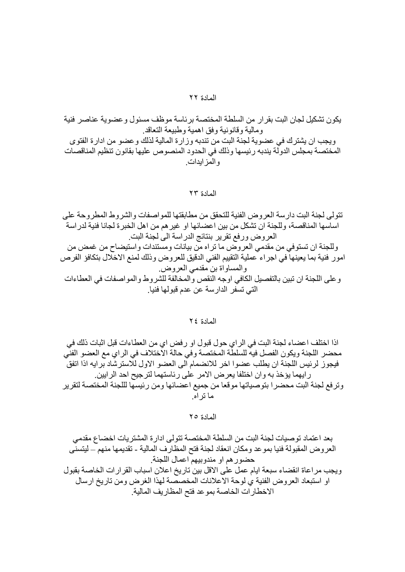يكون تشكيل لجان البت بقر ار ٍ من السلطة المختصة بر ئاسة موظف مسئو ل و عضو ية عناصر ٍ فنية ومالية وقانونية وفق اهمية وطبيعة التعاقد ويجب ان يشترك في عضوية لجنة البت من تندبه وزارة المالية لذلك وعضو من ادارة الفتوى المختصة بمجلس الدولة يندبه رئيسها وذلك في الحدود المنصوص عليها بقانون تنظيم المناقصات و المز ابدات ِ

المادة ٢٣

تتولَّى لجنة البت دار سة العر وحن الفنية للتحقق من مطابقتها للمو اصفات والشر وط المطر وحة على اساسها المناقصة، وللجنة ان نشكل من بين اعضائها او غير هم من اهل الخبر ة لجانا فنية لدر اسة العروض ورفع تقرير بنتائج الدراسة الى لجنة البت وللجنة ان تستوفي من مقدمي العروض ما تراه من بيانات ومستندات واستيضاح من غمض من امور فنية بما يعينها في اجراء عملية التقييم الفني الدقيق للعروض وذلك لمنع الاخلال بتكافؤ الفرص والمساواة بن مقدمي العروض. و على اللجنة ان تبين بالتفصيل الكافي اوجه النقص و المخالفة للشر وط و المو اصفات في العطاءات التي تسفر الدارسة عن عدم قبولها فنيا.

## المادة ٢٤

اذا اختلف اعضاء لجنة البت في الراي حول قبول او رفض اي من العطاءات قبل اثبات ذلك في محضر اللجنة ويكون الفصل فيه للسلطة المختصة وفي حالة الاختلاف في الراي مع العضو الفني فيجوز لرئيس اللجنة ان يطلب عضوا اخر للانضمام الى العضو الاول للاسترشاد برايه اذا اتفق ر ابهما بؤخذ به و ان اختلفا بعر ض الامر ً على ر ئاستهما لتر جيح احد الر ابين. وترفع لجنة البت محضرا بتوصياتها موقعا من جميع اعضائها ومن رئيسها لللجنة المختصة لتقرير ما نز اه

المادة ٢٥

بعد اعتماد توصيات لجنة البت من السلطة المختصة تتولى ادارة المشتريات اخضاع مقدمي العروض المقبولة فنيا بموعد ومكان انعقاد لجنة فتح المظارف المالية ـ تقديمها منهم ــ ليتسنى حضور هم او مندوبيهم اعمال اللجنة. ويجب مراعاة انقضاء سبعة ايام عمل على الاقل بين ناريخ اعلان اسباب القرارات الخاصة بقبول او استبعاد العروض الفنية ي لوحة الاعلانات المخصصة لهذا الغرض ومن تاريخ ارسال الاخطارات الخاصة بموعد فتح المظاريف المالية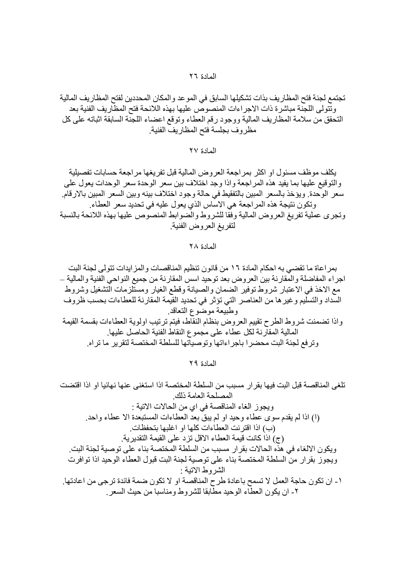تجتمع لجنة فتح المظاريف بذات تشكيلها السابق في الموعد والمكان المحددين لفتح المظاريف المالية وتَّتولى اللجِّنة مباشرة ذات الاجراءات المنصوص عليها بهذه اللائحة فتح المظاريف الفنية بعد التحقق من سلامة المظاريف المالية ووجود رقم العطاء وتوقع اعضاء اللجنة السابقة اثباته على كل مظروف بجلسة فتح المظاريف الفنية

المادة ٢٧

يكلف موظف مسئول او اكثر بمراجعة العروض المالية قبل تفريغها مراجعة حسابات تفصيلية والتوقيع عليها بما يفيد هذه المراجعة واذا وجد اختلاف بين سعر الوحدة سعر الوحدات يعول على سعر الوحدة. ويؤخذ بالسعر المبين بالتفقيط في حالة وجود اختلاف بينه وبين السعر المبين بالارقام. وتكون نتيجة هذه المراجعة هي الاساس الذي يعول عليه في تحديد سعر العطاء. وتجرى عملية تفريغ العروض المالية وفقا للشروط والضوابط المنصوص عليها بهذه اللائحة بالنسبة لتفريغ العروض الفنية

## المادة ٢٨

بمر اعاة ما تقضي به احكام المادة ١٦ من قانون تنظيم المناقصات والمز ايدات تتولى لجنة البت اجر اء المفاضلة و المقار نة بين العر و ض بعد نو حيد اسس المقار نة من جميع النو احي الفنية و المالية — مع الاخذ في الاعتبار شروط توفير الضمان والصيانة وقطع الغيار ومستّلزمات التشغيل وشروط السداد والتسليم وغير ها من العناصر التي تؤثر في تحديد القيمة المقارنة للعطاءات بحسب ظروف وطبيعة موضوع التعاقد وإذا تضمنت شروط الطرح تقييم العروض بنظام النقاط، فيتم ترتيب اولوية العطاءات بقسمة القيمة المالية المقارنة لكل عطاء على مجموع النقاط الفنية الحاصل عليها. وترفع لجنة البت محضرا باجراءاتها وتوصياتها للسلطة المختصة لتقرير ما تراه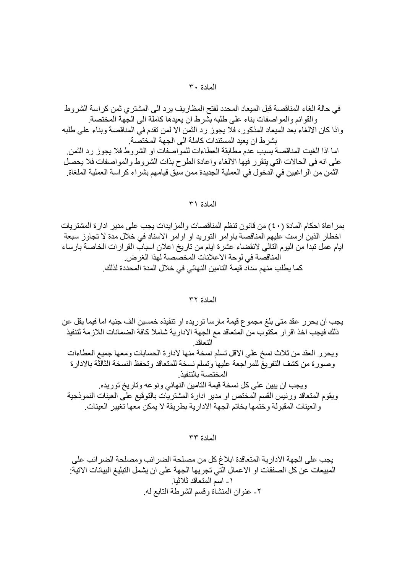في حالة الغاء المناقصة قبل الميعاد المحدد لفتح المظاريف يرد الى المشتر ي ثمن كر اسة الشروط و القو ائم و المو اصفات بناء على طلبه بشر ط ان يعيدها كاملة الى الجهة المختصة.

واذا كان الالغاء بعد الميعاد المذكور ، فلا يجوز رد الثمن الا لمن تقدم في المناقصة وبناء على طلبه بشر ط ان بعبد المستندات كاملة الى الجهة المختصبة.

اما اذا الغيت المناقصة بسبب عدم مطابقة العطاءات للمواصفات او الشروط فلا يجوز رد الثمن. على انه في الحالات التي يتقرر فيها الالغاء واعادة الطرح بذات الشروط والمواصفات فلا يحصل النَّمن من الر اغبين في الدخول في العملية الجديدة ممن سبق قيامهم بشر اء كر اسة العملية الملغاة.

## المادة ٣١

بمراعاة احكام المادة (٤٠) من قانون تنظم المناقصات والمزايدات يجب على مدير ادار ة المشتر يات اخطار الذين ارست عليهم المناقصة باوامر التوريد او اوامر الاسناد في خلال مدة لا تجاوز سبعة ايام عمل تبدا من اليوم التالي لانقضاء عشرة ايام من تاريخ اعلان اسباب القرارات الخاصة بارساء المناقصة في لوحة الاعلانات المخصصة لهذا الغرض. كما يطلب منهم سداد قيمة التامين النهائي في خلال المدة المحددة لذلك ِ

#### المادة ٣٢

يجب ان يحرر عقد متى بلغ مجموع قيمة مارسا توريده او نتفيذه خمسين الف جنيه اما فيما يقل عن ذلك فيجب اخذ اقر ار مكتوب من المتعاقد مع الجهة الادار ية شاملا كافة الضمانات اللاز مة لتنفيذ التعاقد ويحرر العقد من ثلاث نسخ على الاقل تسلم نسخة منها لادارة الحسابات ومعها جميع العطاءات وصورة من كشف التفريغ للمراجعة عليها وتسلم نسخة للمتعاقد وتحفظ النسخة الثالثة بالادارة المختصة بالتنفيذ و يجب ان ببين على كل نسخة قيمة التامين النهائي و نو عه و تار يخ تو ر يده. ويقوم المتعاقد ورئيس القسم المختص او مدير ادارة المشتريات بالتوقيع على العينات النموذجية و العينات المقبولة وختمها بخاتم الجهة الادارية بطريقة لا يمكن معها تغيير العينات.

المادة ٣٣

يجب على الجهة الادارية المتعاقدة ابلاغ كل من مصلحة الضرائب ومصلحة الضرائب على المبيعات عن كل الصفقات او الاعمال التي تجريها الجهة على ان يشمل التبليغ البيانات الاتية: ١- اسم المتعاقد ثلاثيا. ٢- عنوان المنشاة وقسم الشرطة التابع له.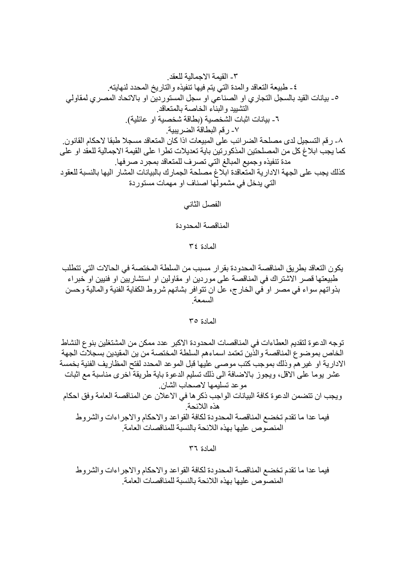كما يجب ابلاغ كل من المصلحتين المذكورتين باية تعديلات تطرا على القيمة الاجمالية للعقد او على مدة تنفيذه وجميع المبالغ التي تصرف للمتعاقد بمجرد صرفها  $\mathbf{u} = \mathbf{v}$ 

الفصل الثاني

المناقصة المحدودة

المادة ٣٤

يكون التعاقد بطريق المناقصة المحدودة بقرار مسبب من السلطة المختصة في الحالات التي تتطلب طبيعتها قصر الاشتراك في المناقصة على موردين او مقاولين او استشاريين او فنيين او خبراء بذواتهم سواء في مصر او في الخارج، عل ان تتوافر بشانهم شروط الكفاية الفنية والمالية وحسن السمعة

المادة ٣٥

توجه الدعوة لتقديم العطاءات في المناقصات المحدودة الاكبر عدد ممكن من المشتغلين بنوع النشاط الخاص بموضوع المناقصة والذين تعتمد اسماءهم السلطة المختصة من ين المقيدين بسجلات الجهة الادارية او غير هم وذلك بموجب كتب موصبي عليها قبل الموعد المحدد لفتح المظاريف الفنية بخمسة عشر بو ما على الاقل، و يجو ز بالاضافة الى ذلك تسليم الدعو ة باية طر يقة اخر ي مناسبة مع اثبات موعد تسليمها لاصحاب الشان ويجب ان تتضمن الدعوة كافة البيانات الواجب ذكر ها في الاعلان عن المناقصة العامة وفق احكام هذه اللائحة فيما عدا ما نقدم تخضع المناقصة المحدودة لكافة القواعد والاحكام والاجر اءات والشروط المنصوص عليها بهذه اللائحة بالنسبة للمناقصات العامة

المادة ٣٦

فيما عدا ما تقدم تخضع المناقصة المحدودة لكافة القواعد والاحكام والاجراءات والشروط المنصوص عليها بهذه اللائحة بالنسبة للمناقصات العامة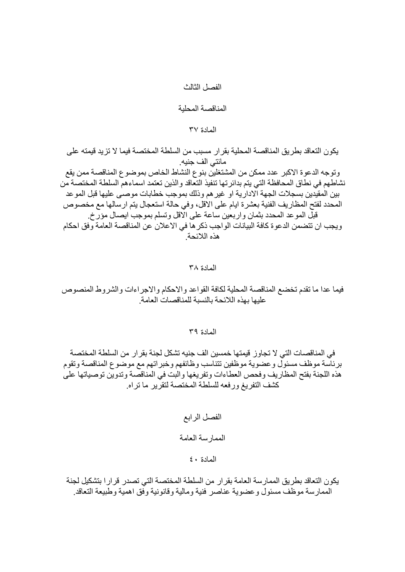## الفصل الثالث

المناقصة المحلية

## المادة ٣٧

يكون التعاقد بطريق المناقصة المحلية بقر ار مسبب من السلطة المختصة فيما لا تزيد قيمته على مائتي الف جنيه. وتوجه الدعوة الاكبر عدد ممكن من المشتغلين بنوع النشاط الخاص بموضوع المناقصة ممن يقع نشاطهم في نطاق المحافظة التي يتم بدائر تها تنفيذ التعاقد والذين تعتمد اسماءهم السلطة المختصة من بين المقيدين بسجلات الجهة الادارية او غير هم وذلك بموجب خطابات موصبي عليها قبل الموعد المحدد لفتح المظار بف الفنية بعشر ة ايام على الاقل، و في حالة استعجال بنم ار سالها مع مخصوص قبِّل الموعد المحدد بثمان واربعين ساعة على الْاقل وتسلَّم بموجب ايصال مؤرَّخ. ويجب ان تتضمن الدعوة كافة البيانات الواجب ذكر ها في الاعلان عن المناقصة العامة وفق احكام هذه اللائحة

## المادة ٣٨

فيما عدا ما نقدم تخضع المناقصة المحلية لكافة القواعد والاحكام والاجر اءات والشروط المنصوص عليها بهذه اللائحة بالنسبة للمناقصات العامة

## المادة ٣٩

في المناقصات التي لا تجاوز قيمتها خمسين الف جنيه تشكل لجنة بقر ار من السلطة المختصة برئاسة موظف مسئول وعضوية موظفين تتناسب وظائفهم وخبراتهم مع موضوع المناقصة وتقوم هذه اللجنة بفتح المظاريف وفحص العطاءات وتفريغها والبت في المناقصة وتدوين توصياتها على كشف التفريغ ورفعه للسلطة المختصة لتقرير ما تراه

> الفصل الرابع الممار سة العامة المادة ٤٠

يكون التعاقد بطريق الممارسة العامة بقرار من السلطة المختصة التي تصدر قرار ا بتشكيل لجنة الممارسة موظف مسئول وعضوية عناصر فنية ومالية وقانونية وفق اهمية وطبيعة التعاقد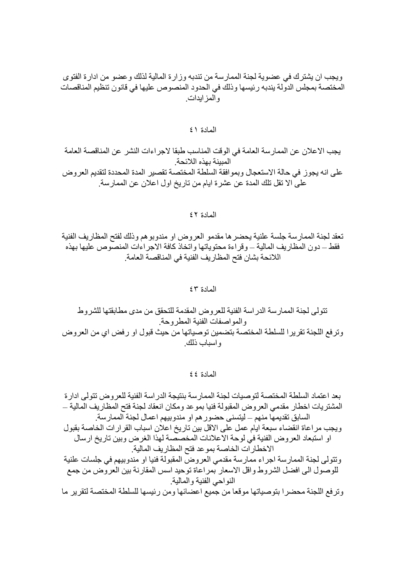ويجب ان يشترك في عضوية لجنة الممارسة من تندبه وزارة المالية لذلك وعضو من ادارة الفتوى المختصة بمجلس الدولة يندبه رئيسها وذلك في الحدود المنصوص عليها في قانون تنظيم المناقصات و المز ابدات

## المادة ٤١

يجب الاعلان عن الممارسة العامة في الوقت المناسب طبقا لاجر اءات النشر عن المناقصة العامة المبينة بهذه اللائحة. على انه يجوز في حالة الاستعجال وبموافقة السلطة المختصة تقصير المدة المحددة لتقديم العروض على الا تقل تلك المدة عن عشرة ايام من تاريخ اول اعلان عن الممارسة.

المعادة ٤٢

تعقد لجنة الممار سة جلسة علنية يحضر ها مقدمو العروض او مندوبو هم وذلك لفتح المظار يف الفنية فقط ــ دون المظاريف المالية ــ وقراءة محتوياتها واتخاذ كافة الاجراءات المنصوص عليها بهذه اللائحة بشان فتح المظاريف الفنية في المناقصة العامة.

المادة ٤٣

تتولَّى لجنة الممار سة الدر اسة الفنية للعروض المقدمة للتحقق من مدى مطابقتها للشروط والمو اصفات الفنبة المطر وحة وترفع اللجنة تقرير ا للسلطة المختصة بتضمين توصياتها من حيث قبول او رفض اي من العروض و اسباب ذلك ِ

المادة ٤٤

بعد اعتماد السلطة المختصبة لتوصيات لجنة الممارسة بنتيجة الدر اسة الفنية للعر وض تتولى ادارة المشتريات اخطار مقدمي العروض المقبولة فنيا بموعد ومكان انعقاد لجنة فتح المظاريف المالية ــ السابق تقديمها منهم ــ ليتسنى حضور هم او مندوبيهم اعمال لجنة الممارسة. ويجب مر اعاة انقضاء سبعة ايام عمل على الاقل بين ناريخ اعلان اسباب القرارات الخاصة بقبول او استبعاد العروض الفنية في لوحة الاعلانات المخصصة لهذا الغرض وبين تاريخ ارسال الاخطارات الخاصة بموعد فتح المظاريف المالية و تتو لي لجنة الممار سة اجر اء ممار سة مقدمي العر و ض المقبو لة فنيا او مندو بيهم في جلسات علنية للوصول الى افضل الشروط واقل الاسعار بمراعاة توحيد اسس المقارنة بين العروض من جمع النواحي الفنية والمالية وترفع اللجنة محضرا بتوصياتها موقعا من جميع اعضائها ومن رئيسها للسلطة المختصة لتقرير ما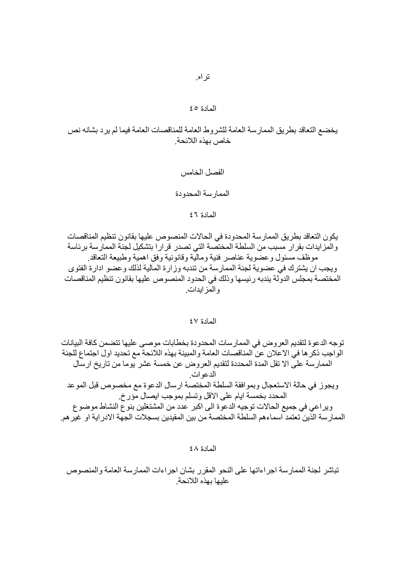# يخضع التعاقد بطريق الممارسة العامة للشروط العامة للمناقصات العامة فيما لم يرد بشانه نص خاص بهذه اللائحة

الفصل الخامس الممار سة المحدودة المادة ٢٤

يكون التعاقد بطريق الممار سة المحدودة في الحالات المنصوص عليها بقانون تنظيم المناقصات والمزايدات بقرار مسبب من السلطة المختصة التي تصدر قرارا بتشكيل لجنة الممارسة برئاسة موظف مسئول وعضوية عناصر فنية ومالية وقانونية وفق اهمية وطبيعة النعاقد ويجب ان يشترك في عضوية لجنة الممارسة من تندبه وزارة المالية لذلك وعضو ادارة الفتوى المختصة بمجلس الدولة يندبه رئيسها وذلك في الحدود المنصوص عليها بقانون تنظيم المناقصات و المز ابدات

## المادة ٤٧

توجه الدعوة لتقديم العروض في الممارسات المحدودة بخطابات موصىي عليها تتضمن كافة البيانات الواجب ذكر ها في الاعلان عن المناقصات العامة والمبينة بهذه اللائحة مع تحديد اول اجتماع للجنة الممارسة على الا نقل المدة المحددة لتقديم العروض عن خمسة عشر يوما من تاريخ ارسال الدعوات. ويجوز في حالة الاستعجال وبموافقة السلطة المختصة ارسال الدعوة مع مخصوص قبل الموعد المحدد بخمسة ايام على الاقل وتسلم بموجب ايصال مؤرخ. ويراعي في جميع الحالات توجيه الدعوة الى اكبر عدد من المشتغلين بنوع النشاط موضوع الممارسة الذين تعتمد اسماءهم السلطة المختصة من بين المقيدين بسجلات الجهة الادر اية او غير هم.

المادة ٤٨

تباشر لجنة الممارسة اجراءاتها على النحو المقرر بشان اجراءات الممارسة العامة والمنصوص عليها بهذه اللائحة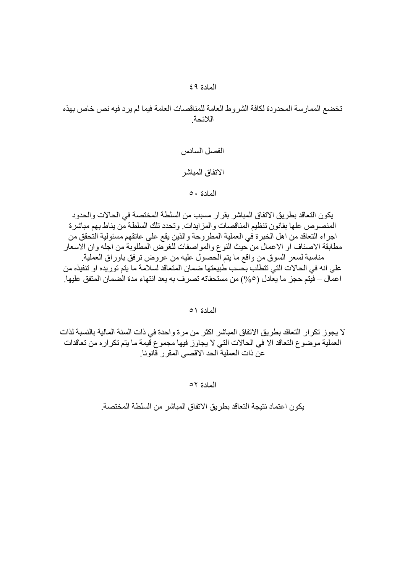# تخضع الممار سة المحدودة لكافة الشروط العامة للمناقصات العامة فيما لم ير د فيه نص خاص بهذه اللائحة

الفصل السادس الاتفاق المباشر المادة ٥٠

يكون النعاقد بطريق الاتفاق المباشر بقرار مسبب من السلطة المختصة في الحالات والحدود المنصوص علها بقانون تنظيم المناقصات والمز ايدات وتحدد تلك السلطة من يناط بهم مباشرة اجراء التعاقد من اهل الخبرة في العملية المطروحة والذين يقع على عاتقهم مسئولية التحقق من مطابقة الاصناف او الاعمال من حيث النوع والمواصفات للغرص المطلوبة من اجله وان الاسعار مناسبة لسعر السوق من واقع ما يتم الْحصول عليه من عروض ترفق باوراق العملية ِ على انه في الحالات التي تتطلب بحسب طبيعتها ضمان المتعاقد لسلامة ما يتم توريده او تنفيذه من اعمال ــ فيتم حجز ما يعادل (0,0°) من مستحقاته تصر ف به يعد انتهاء مدة الضمان المتفق عليها.

المادة ٥١

لا يجوز تكر ار النعاقد بطريق الاتفاق المباشر اكثر من مر ة واحدة في ذات السنة المالية بالنسبة لذات العملية موضوع النعاقد الا في الحالات التي لا يجاوز فيها مجموع قيمة ما يتم تكراره من تعاقدات عن ذات العملية الحد الاقصبي المقر ر قانونا.

المادة ٥٢

يكون اعتماد نتيجة التعاقد بطريق الاتفاق المباشر من السلطة المختصة.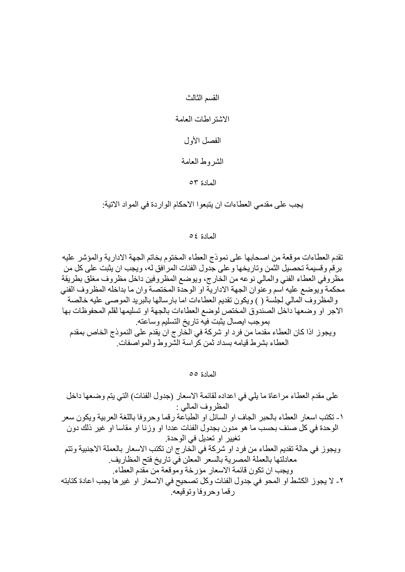القسم الثالث

# الاشتر اطات العامة

الفصل الأول

# الشروط العامة

المادة ٥٣

يجب على مقدمي العطاءات ان يتبعوا الاحكام الواردة في المواد الاتية:

## المادة ٤٥

تقدم العطاءات موقعة من اصحابها على نموذج العطاء المختوم بخاتم الجهة الادارية والمؤشر عليه برقم وقسيمة تحصيل الثمن وتاريخها وعلى جدول الفئات المرافق له، ويجب ان يثبت على كل من مظروفي العطاء الفني والمالي نوعه من الخارج، ويوضع المظروفين داخل مظروف مغلق بطريقة محكمة ويوضع عليه اسم وعنوان الجهة الادارية او الوحدة المختصة وان ما بداخله المظروف الفني والمظروف المالي لجلَّسة ( ) ويكون تقديم العطاءات اما بارسالها بالبريد الموصىي عليه خالصة ا الاجر او وضعها داخل الصندوق المختص لوضع العطاءات بالجهة او تسليمها لقلم المحفوظات بها بموجب ايصال يثبت فيه تاريخ التسليم وساعته ويجوز اذا كان العطاء مقدَّما من فرد او شركة في الخَّار ج ان يقدم على النموذج الخاص بمقدم العطاء بشرط قيامه بسداد ثمن كراسة الشروط والمواصفات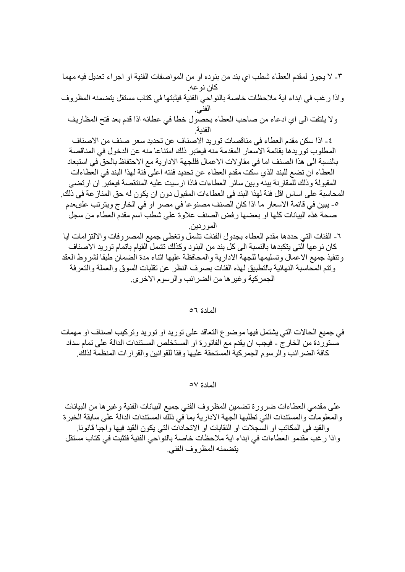٣- لا يجوز لمقدم العطاء شطب اي بند من بنوده او من المواصفات الفنية او اجراء تعديل فيه مهما كان نو عه ِ واذا رغب في ابداء اية ملاحظات خاصة بالنواحي الفنية فيثبتها في كتاب مستقل يتضمنه المظروف الفني. ولا يلتفت الى اي ادعاء من صاحب العطاء بحصول خطا في عطائه اذا قدم بعد فتح المظاريف الفنية ٤- اذا سكن مقدم العطاء في مناقصات توريد الاصناف عن تحديد سعر صنف من الاصناف المطلوب توريدها بقائمة الاسعار المقدمة منه فيعتبر ذلك امتناعا منه عن الدخول في المناقصة بالنسبة الى هذا الصنف اما في مقاولات الاعمال فللجهة الادارية مع الاحتفاظ بالحق في استبعاد العطاء ان تضمع للبند الذي سكت مقدم العطاء عن تحديد فئته اعلى فئة لهذا البند في العطاءات المقبولة وذلك للمقارنة بينه وبين سائر العطاءات فاذا ارسيت عليه المنتقصة فيعتبر ان ارتضى المحاسبة على اساس اقل فئة لهذا البند في العطاءات المقبول دون ان يكون له حق المناز عة في ذلك. ٥- يبين في قائمة الاسعار ما اذا كان الصنف مصنوعا في مصر او في الخار ج ويتر تب علىعدم صحة هذه البيانات كلها او بعضها رفض الصنف علاوة على شطب اسم مقدم العطاء من سجل المور دين. ٦- الفئات التي حددها مقدم العطاء بجدول الفئات تشمل وتغطى جميع المصر وفات والالتز إمات ايا كان نوعها التي يتكبدها بالنسبة الى كل بند من البنود وكذلك تشمل القيام باتمام توريد الاصناف وتنفيذ جميع الاعمال وتسليمها للجهة الادارية والمحافظة عليها اثناء مدة الضمان طبقا لشروط العقد ونتم المحاسبة النهائية بالتطبيق لهذه الفئات بصرف النظر عن تقلبات السوق والعملة والتعرفة الجمر كبة و غير ها من الضر ائب و الر سوم الإخر ي

المادة ٥٦

في جميع الحالات التي يشتمل فيها موضوع التعاقد على توريد او توريد وتركيب اصناف او مهمات مستوردة من الخارج - فيجب ان يقدم مع الفاتورة او المستخلص المستندات الدالة على تمام سداد كافة الضرائب والرسوم الجمركية المستحقة عليها وفقا للقوانين والقرارات المنظمة لذلك

المادة ٥٧

على مقدمي العطاءات ضرورة تضمين المظروف الفني جميع البيانات الفنية وغير ها من البيانات و المعلومات و المستندات التي تطلبها الجهة الادارية بما في ذلك المستندات الدالة على سابقة الخبر ة و القيد في المكاتب او السجلات او النقابات او الاتحادات التي يكون القيد فيها و اجبا قانونـا. واذا رغب مقدمو العطاءات في ابداء اية ملاحظات خاصة بالنواحي الفنية فتثبت في كتاب مستقل يتضمنه المظر وف الفني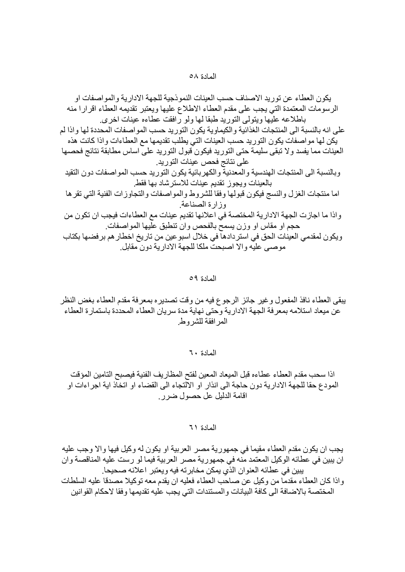يكون العطاء عن توريد الاصناف حسب العينات النمو ذجية للجهة الادار ية و المو اصفات او الرسومات المعتمدة التي يجب على مقدم العطاء الاطلاع عليها ويعتبر تقديمه العطاء اقرارا منه باطلاعه عليها ويتولى التوريد طبقا لها ولو رافقت عطاءه عينات اخرى على انه بالنسبة الى المنتجات الغذائية والكيماوية يكون التوريد حسب المواصفات المحددة لها واذا لم يكن لها مواصفات يكون التوريد حسب العينات التي يطلب تقديمها مع العطاءات واذا كانت هذه العينات مما يفسد ولا تبقى سليمة حتى التوريد فيكون قبول التوريد على اساس مطابقة نتائج فحصها على نتائج فحص عينات التوريد. وبالنسبة الى المنتجات الهندسية والمعدنية والكهربائية يكون التوريد حسب المواصفات دون التقيد بالعينات ويجوز تقديم عينات للاسترشاد بها فقط اما منتجات الغزل والنسج فيكون قبولها وفقا للشروط والمواصفات والتجاوزات الفنية التي تقرها وزارة الصناعة واذا ما اجازت الجهة الادارية المختصة في اعلانها تقديم عينات مع العطاءات فيجب ان تكون من حجم او مقاس او وزن بسمح بالفحص وان تنطبق عليها المواصفات ِ ويكون لمقدمي العينات الحق في استردادها في خلال اسبو عين من تاريخ اخطار هم بر فضها بكتاب موصبي عليه و الا اصبحت ملكا للجهة الادارية دون مقابل ِ

### المادة ٥٩

يبقى العطاء نافذ المفعول وغير جائز الرجوع فيه من وقت تصدير ه بمعر فة مقدم العطاء بغض النظر عن مبعاد استلامه بمعرفة الجهة الادارية وحتى نهاية مدة سريان العطاء المحددة باستمارة العطاء المر افقة للشر وط

المادة ٦٠

اذا سحب مقدم العطاء عطاءه قبل الميعاد المعين لفتح المظار يف الفنية فيصبح التامين المؤقت المودع حقا للجهة الادارية دون حاجة الى انذار او الآلتجاء الى القضاء او اتخاذ اية اجراءات او اقامة الدليل عل حصول ضرير

## المعادة ٦١

يجب ان يكون مقدم العطاء مقيما في جمهورية مصر العربية او يكون له وكيل فيها والا وجب عليه ان يبين في عطائه الوكيل المعتمد منه في جمهورية مصر العربية فيما لو رست عليه المناقصة وان بِبِين في عطائه العنو ان الذي يمكن مخابر ته فيه و يعتبر اعلانه صحيحا.

وإذا كان العطاء مقدما من وكيل عن صاحب العطاء فعليه ان يقدم معه توكيلا مصدقا عليه السلطات المختصة بالاضافة الى كافة البيانات والمستندات التي يجب عليه تقديمها وفقا لاحكام القوانين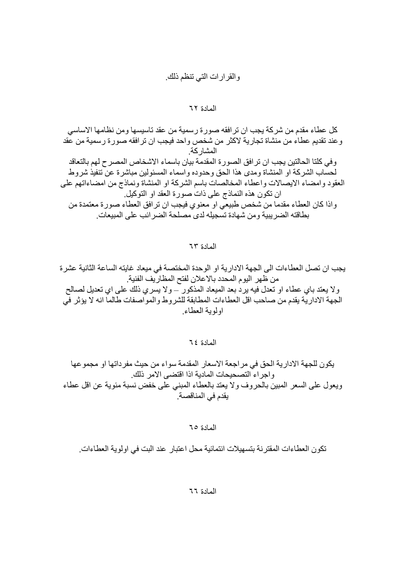# والقرارات التي تنظم ذلك

## المادة ٦٢

كل عطاء مقدم من شركة يجب ان تر افقه صورة رسمية من عقد تاسيسها ومن نظامها الاساسي وعند تقديم عطاء من منشاة تجارية لاكثر من شخص واحد فيجب ان ترافقه صورة رسمية من عقد المشار كة وفي كلتا الحالتين يجب ان تر افق الصورة المقدمة بيان باسماء الاشخاص المصر ح لهم بالتعاقد لحسَّاب الشركة او المنشاة ومدى هذا الحق وحدوده واسماء المسئولين مباشرة عن تنفيذ شروط العقود وامضاء الايصالات واعطاء المخالصات باسم الشركة او المنشاة ونماذج من امضاءاتهم على ان تكون هذه النماذج على ذات صورة العقد او التوكيل ً و اذا كان العطاء مقدما من شخص طبيعي او معنو ي فيجب ان تر افق العطاء صور ة معتمدة من بطاقته الضر بببة ومن شهادة تسجيله لدى مصلحة الضر ائب على المبيعات

المادة ٦٣

يجب ان تصل العطاءات الى الجهة الادارية او الوحدة المختصة في ميعاد غايته الساعة الثانية عشرة من ظهر اليوم المحدد بالاعلان لفتح المظار يف الفنية. ولا يعند باي عطاء او نعدل فيه يرد بعد الميعاد المذكور ّ ــولا يسري ذلك على اي نعديل لصالح الجهة الادار ية يقدم من صـاحب اقل العطـاءات المطـابقة للشر و طـ و المو اصـفات طـالمـا انـه لا يؤثر في اولوية العطاء

المادة ٢٤

يكون للجهة الإدارية الحق في مر اجعة الاسعار المقدمة سواء من حيث مفر داتها او مجموعها واجراء التصحيحات المادية اذا اقتضى الامر ذلك ويعول على السعر المبين بالحروف ولا يعتد بالعطاء المبنى على خفض نسبة مئوية عن اقل عطاء يقدم في المناقصة.

المادة ٦٥

تكون العطاءات المقترنة بتسهيلات انتمائية محل اعتبار عند البت في اولوية العطاءات.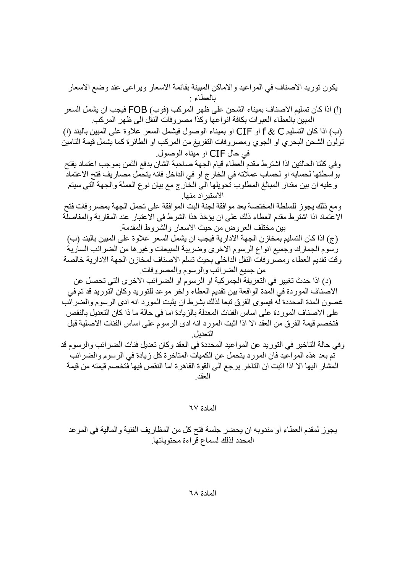يكون توريد الاصناف في المواعيد والاماكن المبينة بقائمة الاسعار ويراعى عند وضع الاسعار بالعطاء · (١) اذا كان تسليم الاصناف بميناء الشحن على ظهر المركب (فوب) FOB فيجب ان يشمل السعر المبين بالعطاء العبوات بكافة انواعها وكذا مصروفات النقل الى ظهر المركب. (ب) اذا كان التسليم f & C او CIF او بميناء الوصول فيشمل السعر علاوة على المبين بالبند (ا) تولُّون الشَّحن البحري او الجوي ومصروفات التَّفريغ من المركب او الطَّائرة كما يشمل قيمة التَّامين في حال CIF او مبناء الوصول وفي كلتا الحالتين اذا اشترط مقدم العطاء قيام الجهة صاحبة الشان بدفع الثمن بموجب اعتماد يفتح بواسطتها لحسابه او لحساب عملاته في الخار ج او في الداخل فانه يتحمل مصـار يف فتح الاعتماد و عليه ان بين مقدار المبالغ المطلوب تحويلها الى الخارج مع بيان نوع العملة والجهة التي سيتم الاستير اد منها. ومع ذلك يجوز للسلطة المختصة بعد موافقة لجنة البت الموافقة على تحمل الجهة بمصروفات فتح الاعتماد اذا اشترط مقدم العطاء ذلك على ان يؤخذ هذا الشرط في الاعتبار عند المقارنة والمفاصلَّة بين مختلف العر و ض من حيث الاسعار ۖ و الشر و ط المقدمة ِ (ج) اذا كان التسليم بمخاز ن الجهة الإدار ية فيجب ان يشمل السعر ِ علاوة على المبين بالبند (ب) رسوم الجمارك وجميع انواع الرسوم الاخرى وضريبة المبيعات وغير ها من الضرائب السارية وقت تقديم العطاء ومصروفات النقل الداخلي بحيث تسلم الاصناف لمخازن الجهة الادارية خالصة من جميع الضرائب والرسوم والمصروفات. (د) اذا حدث تغيير في النعر بفة الجمر كية او الر سو م او الضر ائب الآخر ي التي تحصل عن الاصناف الموردة في المدة الواقعة بين تقديم العطاء واخر موعد للتوريد وكان التوريد قد تم في غصون المدة المحددة له فيسوى الفرق تبعا لذلك بشرط ان يثبت المورد انه ادى الرسوم والضرائب على الاصناف الموردة على اساس الفئات المعدلة بالزيادة اما في حالة ما ذا كان التعديل بالنقص فتخصم قيمة الفرق من العقد الا اذا اثبت المورد انه ادى الرسوم على اساس الفئات الاصلية قبل

التعديل

وفي حالة التاخير في التوريد عن المواعيد المحددة في العقد وكان تعديل فئات الضرائب والرسوم قد تم بعد هذه المواعيد فان المورد يتحمل عن الكميات المتاخر ة كل زيادة في الرسوم والضرائب المشار اليها الا اذا اثبت ان التاخر يرجع الى القوة القاهرة اما النقص فيها فتخصم قيمته من قيمة العقد

المادة ٦٧

يجوز لمقدم العطاء او مندوبه ان يحضر جلسة فتح كل من المظاريف الفنية والمالية في الموعد المحدد لذلك لسماع قراءة محتوياتها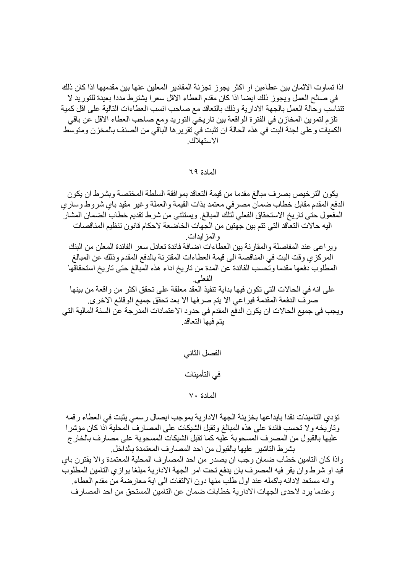اذا تساوت الاثمان بين عطـاءين او اكثر يجوز تجزئة المقادير المعلين عنـها بين مقدميها اذا كان ذلك في صالح العمل ويجوز ذلك ايضا اذا كان مقدم العطاء الاقل سعرا يشترط مددا بعيدة للتوريد لا تتناسب وحالة العمل بالجهة الادارية وذلك بالتعاقد مع صاحب انسب العطاءات التالية على اقل كمية تلزم لتموين المخازن في الفترة الواقعة بين تاريخي التوريد ومع صاحب العطاء الاقل عن باقي الكميات و على لجنة البت في هذه الحالة ان تثبت في تقرير ها الباقي من الصنف بالمخزن ومتوسط الاستهلاك

## المادة ٦٩

يكون الترخيص بصرف مبالغ مقدما من قيمة التعاقد بموافقة السلطة المختصة وبشرط ان يكون الدفع المقدم مقابل خطاب ضمان مصر في معتمد بذات القيمة و العملة و غير مقيد باي شر و ط و سار ي المفعول حتى تاريخ الاستحقاق الفعلى لتلك المبالغ ويستثني من شرط تقديم خطاب الضمان المشار اليه حالات النعاقد التي نتم بين جهتين من الجهات الخاضعة لاحكام قانون تنظيم المناقصات و المز ايدات. وير اعي عند المفاصلة والمقارنة بين العطاءات اضافة فائدة تعادل سعر الفائدة المعلن من البنك المركزي وقت البت في المناقصة الى قيمة العطاءات المقترنة بالدفع المقدم وذلك عن المبالغ المطلوب دفعها مقدما وتحسب الفائدة عن المدة من تاريخ اداء هذه المبالغ حتى تاريخ استحقاقها الفعلم على انه في الحالات التي تكون فيها بداية تنفيذ العقد معلقة على تحقق اكثر من واقعة من بينها صر ف الدفعة المقدمة فير اعي الا يتم صر فها الا بعد تحقق جميع الوقائع الاخر ي. ويجب في جميع الحالات ان يكون الدفع المقدم في حدود الاعتمادات المدرجة عن السنة المالية التي يتم فيها التعاقد

الفصل الثاني

في التأمينات

المادة ٧٠

تؤدى التامينات نقدا بايداعها بخزينة الجهة الادارية بموجب ايصال رسمي يثبت في العطاء رقمه وِ تاريخه و لا تحسب فائدة على هذه المبالغ وتقبل الشبكات على المصار ف المحلية اذا كان مؤشر ا عليها بالقبول من المصر ف المسحوبة عليه كما تقبل الشيكات المسحوبة على مصار ف بالخار ج بشرط التاشير عليها بالقبول من احد المصارف المعتمدة بالداخل. واذا كان التامين خطاب ضمان وجب ان يصدر من احد المصارف المحلية المعتمدة والا يقترن باي قيد او شرط وان يقر فيه المصر ف بان يدفع تحت امر الجهة الادارية مبلغا يواز ي التامين المطلوب و إنه مستعد لادائه باكمله عند اول طلب منها دون الالتفات الى اية معار ضنة من مقدم العطاء. و عندما يرد لاحدى الجهات الادارية خطابات ضمان عن التامين المستحق من احد المصـار ف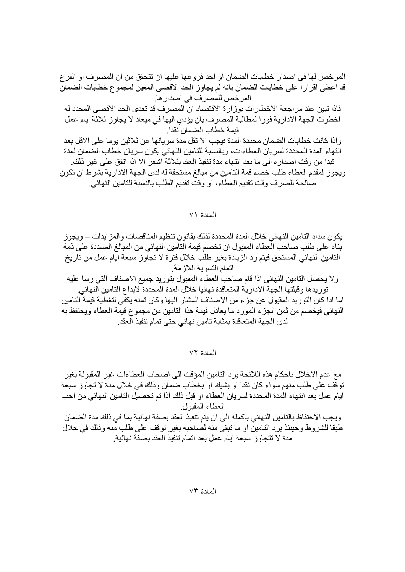المرخص لها في اصدار خطابات الضمان او احد فروعها عليها ان تتحقق من ان المصر ف او الفر ع قد اعطى اقراراً على خطابات الضمان بانه لم يجاوز الحد الاقصىي المعين لمجموع خطابات الضمان المر خص للمصر ف في اصدار ها.

فاذا تبين عند مر اجعة الاخطار ات بور ار ة الاقتصاد ان المصر ف قد تعدي الحد الاقصبي المحدد له اخطرت الجهة الادارية فورا لمطالبة المصرف بان يؤدي اليها في ميعاد لا يجاوز ثلاثة ايام عمل قيمة خطاب الضمان نقدا

واذا كانت خطابات الضمان محددة المدة فيجب الا نقل مدة سريانها عن ثلاثين يوما على الاقل بعد اللقهاء المدة المحددة لسريان العطاءات، وبالنسبة للتامين النهائي يكون سريان خطاب الضمان لمدة تبدا من وقت اصدار ه الى ما بعد انتهاء مدة تنفيذ العقد بثلاثة اشعر الا اذا اتفق على غير ذلك. ويجوز لمقدم العطاء طلب خصم قمة التامين من مبالغ مستحقة له لدى الجهة الادارية بشرط ان تكون

صـالحة للصرف وقت تقديم العطاء، او وقت تقديم الطلب بالنسبة للتامين النهائي.

## المادة ٧١

يكون سداد التامين النهائي خلال المدة المحددة لذلك بقانون تنظيم المناقصات و المز ايدات ـــ و يجوز بناء على طلب صـاحب العطـاء المقبول ان تخصم قيمة التامين النـهائـي من المبالـغ المسددة علـي ذمة التامين النهائي المستحق فيتم رد الزيادة بغير طلب خلال فترة لا تجاوز سبعة ايام عمل من تاريخ اتمام التسوية اللازمة

ولا يحصل التامين النهائي اذا قام صاحب العطاء المقبول بتوريد جميع الاصناف التي رسا عليه توريدها وقبلتها الجهة الادارية المتعاقدة نهائيا خلال المدة المحددة لايداع التامين النهائي.

اما اذا كان التوريد المقبول عن جزء من الاصناف المشار اليها وكان ثمنه يكفي لتغطية قيمة التامين النهائي فيخصم من ثمن الجز ء المورد ما يعادل قيمة هذا التامين من مجموع قيمة العطاء ويحتفظ به لدى الجهة المتعاقدة بمثابة تامين نهائي حتى تمام تنفيذ العقد.

المادة ٧٢

مع عدم الاخلال باحكام هذه اللائحة بر د النامين المؤ قت الى اصـحاب العطـاءات غير المقبو لـة بغير توقُّف علَّى طلب منهم سواء كان نقدا او بشيك او بخطاب ضمان وذلك في خلال مدة لا تجاوز سبعة ايام عمل بعد انتهاء المدة المحددة لسريان العطاء او قبل ذلك اذا تم تحصيل التامين النهائي من احب العطاء المقبول

ويجب الاحتفاظ بالتامين النهائي باكمله الى ان يتم تنفيذ العقد بصفة نهائية بما في ذلك مدة الضمان طبقا للشروط وحينئذ يرد التامين او ما نبقى منه لصاحبه بغير نوقف على طلب منه وذلك في خلال مدة لا تتجاوز سبعة ايام عمل بعد اتمام تنفيذ العقد بصفة نهائية.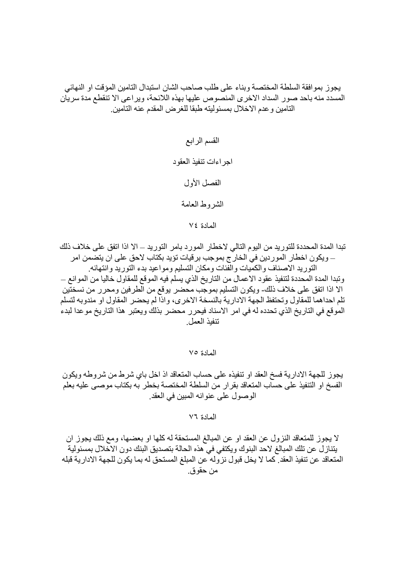يجوز بموافقة السلطة المختصة وبناء على طلب صاحب الشان استبدال التامين المؤقت او النهائي المسدد منه باحد صور السداد الاخرى المنصوص عليها بهذه اللائحة، ويراعى الا تنقطع مدة سريان التامين و عدم الاخلال بمسئوليته طبقا للغر ض المقدم عنه التامين.

> القسم الرابع اجر اءات تنفيذ العقود الفصل الأول الشر وط العامة المادة ٧٤

تبدا المدة المحددة للتوريد من اليوم التالي لاخطار المورد بامر التوريد ــ الا اذا اتفق على خلاف ذلك – ويكون اخطار الموردين في الخار ج بموجب بر قيات تؤيد بكتاب لاحق على ان يتضمن امر التوريد الاصناف والكميات والفئات ومكان التسليم ومواعيد بدء التوريد وانتهائه وتبدا المدة المحددة لتنفيذ عقود الاعمال من التاريخ الذي يسلم فيه الموقع للمقاول خاليا من الموانع — الا اذا اتفق على خلاف ذلك- ويكون التسليم بموجب محضر يوقع من الطرفين ومحرر من نسختين تلم احداهما للمقاول وتحتفظ الجهة الادارية بالنسخة الاخرى، واذا لم يحضر المقاول او مندوبه لتسلم الموقع في التاريخ الذي تحدده له في امر الاسناد فيحرر محضر بذلك ويعتبر هذا التاريخ موعدا لبدء تنفد العمل

المادة ٧٥

يجوز للجهة الادارية فسخ العقد او نتفيذه على حساب المتعاقد اذ اخل باي شرط من شر و طه ويكون الفسخ او التنفيذ على حساب المتعاقد بقرار من السلطة المختصة بخطر به بكتاب موصبي عليه بعلم الوصول على عنوانه المبين في العقد.

المادة ٧٦

لا يجوز للمتعاقد النزول عن العقد او عن المبالغ المستحقة له كلها او بعضها، ومع ذلك يجوز ان يتنازل عن تلك المبالغ لاحد البنوك ويكتفي في هذه الحالة بتصديق البنك دون الاخلال بمسئولية المتعاقد عن تنفيذ العقد. كما لا يخل قبول نزوله عن المبلغ المستحق له بما يكون للجهة الادارية قبله من حقو ق.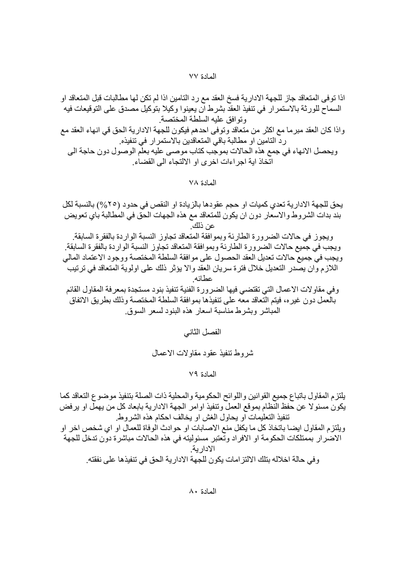اذا تو في المتعاقد جاز للجهة الإدار بـة فسخ العقد مـع ر د التامين اذا لم تكن لـها مطـالبات قبل المتعاقد او السماح للورثة بالاستمر ار في تنفيذ العقد بشرط ان يعينوا وكيلا بتوكيل مصدق على التوقيعات فيه وتوافق علبه السلطة المختصبة واذا كان العقد مبرما مع اكثر من متعاقد وتوفي احدهم فيكون للجهة الادارية الحق قي انهاء العقد مع رد النامين او مطالبة باقي المتعاقدين بالاستمرار في تنفيذه. ويحصل الانهاء في جمع هذه الحالات بموجب كتاب موصىي عليه بعلم الوصول دون حاجة الى اتخاذ اية اجراءات اخرى او الالتجاء الى القضاء.

المادة ٧٨

يحق للجهة الإدار ية تعدي كميات او حجم عقودها بالز يادة او النقص في حدود (٢٥%) بالنسبة لكل بند بدات الشروط والاسعار دون ان يكون للمتعاقد مع هذه الجهات الحق في المطالبة باي تعويض عن ذلك

ويجوز في حالات الضرورة الطارئة وبموافقة المتعاقد تجاوز النسبة الواردة بالفقرة السابقة. ويجب في جميع حالات الضرورة الطارئة وبموافقة المتعاقد تجاوز النسبة الواردة بالفقرة السابقة. ويجب في جميع حالات تعديل العقد الحصول على موافقة السلطة المختصة ووجود الاعتماد المالي اللازم وان يصدر التعديل خلال فترة سريان العقد والا يؤثر ذلك على اولوية المتعاقد في ترتيب عطائه

وفي مقاولات الاعمال التي تقتضي فيها الضرورة الفنية تنفيذ بنود مستجدة بمعرفة المقاول القائم بالعمل دون غيره، فيتم التعاقد معه على تنفيذها بموافقة السلطة المختصة وذلك بطر يق الاتفاق المباشر وبشرط مناسبة اسعار هذه البنود لسعر السوق

الفصل الثاني

شر وط تنفيذ عقود مقاولات الاعمال

المادة ٧٩

يلتزم المقاول باتباع جميع القوانين واللوائح الحكومية والمحلية ذات الصلة بتنفيذ موضوع التعاقد كما يكون مسئولا عن حفظ النظام بموقع العمل وتنفيذ اوامر الجهة الادارية بابعاد كل من يهمل او يرفض تنفيذ التعليمات او يحاول الغش او يخالف احكام هذه الشروط

ويلتز م المقاول ايضـا بـاتخـاذ كل مـا يكفل منـع الاصـابـات او حو ادث الو فـاة للـعمـال او اي شخص اخر او الاضرار بممتلكات الحكومة او الافراد وتعتبر مسئوليته في هذه الحالات مباشرة دون تدخل للجهة الادار ية و في حالة اخلاله بتلك الالتز امات يكون للجهة الادار ية الحق في تنفيذها على نفقته ِ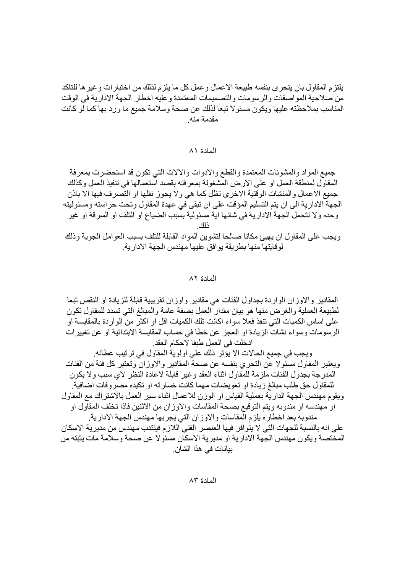يلتزم المقاول بان يتحرى بنفسه طبيعة الاعمال وعمل كل ما يلزم لذلك من اختبار ات وغير ها للتاكد من صلاحية المو اصفات و الر سو مات و التصميمات المعتمدة و عليه اخطار الجهة الادار ية في الو قت المناسب بملاحظته عليها ويكون مسئولا تبعا لذلك عن صحة وسلامة جميع ما ورد بها كما لو كانت مقدمة منه

## المعادة ٨١

جميع المواد والمشونات المعتمدة والقطع والادوات والالات التي تكون قد استحضرت بمعرفة المقاول لمنطقة العمل او على الارض المشغولة بمعرفته بقصد استعمالها في تنفيذ العمل وكذلك جميع الاعمال والمنشات الوقتية الاخرى تظل كما هي ولا يجوز نقلها او التصرف فيها الا باذن الجهة الإدار بة الى ان بِنم النسليم المؤقت على ان تبقى في عهدة المقاول و تحت حر استه و مسئو لبِنه وحده ولا تتحمل الجهة الادارية في شانها اية مسئولية بسبب الضياع او التلف او السرقة او غير

ويجب على المقاول ان يهيئ مكانا صالحا لتشوين المواد القابلة للتلف بسبب العوامل الجوية وذلك لو قايتها منها بطر يقة يو افق عليها مهندس الجهة الادار ية.

## المادة ٨٢

المقادير والاوزان الواردة بجداول الفئات هي مقادير واوزان تقريبية قابلة للزيادة او النقص تبعا لطبيعة العملية والغرض منها هو بيان مقدار العمل بصفة عامة والمبالغ التي تسدد للمقاول تكون على اساس الكميات التي تنفذ فعلا سواء اكانت تلك الكميات اقل او اكثر من الواردة بالمقايسة او الرسومات وسواء نشات الزيادة او العجز عن خطا في حساب المقايسة الابتدائية او عن تغيير ات ادخلت في العمل طبقا لاحكام العقد. ويجب في جميع الحالات الا يؤثر ذلك على اولوية المقاول في ترتيب عطائه ِ ويعتبر المقاول مسئولا عن التحري بنفسه عن صحة المقادير والاوزان وتعتبر كل فئة من الفئات المدر جة بجدو ل الفئات ملز مة للمقاو ل اثناء العقد و غير قابلة لاعادة النظر لاي سبب و لا يكون

للمقاول حق طلب مبالغ ز يادة او تعويضات مهما كانت خسار ته او تكبده مصر و فات اضافية ٍ ويقوم مهندس الجهة الدارية بعملية القياس او الوزن للاعمال اثناء سير العمل بالاشتراك مع المقاول او مهندسه او مندوبه ويتم التوقيع بصحة المقاسات والاوزان من الاثنين فاذا تخلف المقاول او مندوبه بعد اخطاره يلزم المقاسات والاوزان التي يجربها مهندس الجهة الادارية على انه بالنسبة للجهات التي لا يتوافر فيها العنصر الفتي اللازم فينتدب مهندس من مدير ية الاسكان المختصة ويكون مهندس الجهة الادارية او مديرية الاسكان مسئولا عن صحة وسلامة مات يثبته من بيانات في هذا الشان.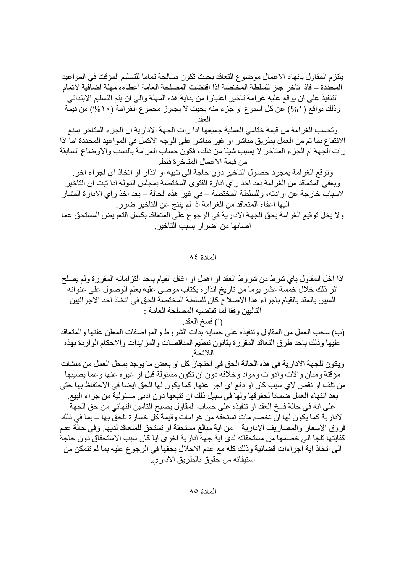يلتزم المقاول بانهاء الاعمال موضوع التعاقد بحيث تكون صالحة تماما للتسليم المؤقت في المواعيد المحددة – فاذا تاخر جاز للسلطة المختصة اذا اقتضت المصلحة العامة اعطاءه مهلة اضافية لاتمام التنفيذ على ان يوقع عليه غرامة تاخير اعتبارا من بداية هذه المهلة والى ان يتم التسليم الابتدائي وذلك بواقع (١%) عن كل اسبو ع او جزء منه بحيث لا يجاوز مجموع الغرامة (١٠%) من قيمة العقد

وتحسب الغرامة من قيمة ختامي العملية جميعها اذا رات الجهة الادارية ان الجزء المتاخر بمنع الانتفاع بما تم من العمل بطريق مباشر او غير مباشر على الوجه الاكمل في المواعيد المحددة اما اذا رات الجهة ام الجزء المتاخر لا يسبب شيئا من ذلك، فكون حساب الغرامة بالنسب والاوضـاع السابقة من قيمة الاعمال المتاخر ة فقط

وتوقع الغرامة بمجرد حصول التاخير دون حاجة الى تتبيه او انذار او اتخاذ اي اجراء اخر ِ ويعفي المتعاقد من الغرامة بعد اخذ راي ادارة الفتوى المختصة بمجلس الدولة اذا ثبت ان التاخير لاسباب خارجة عن ارادته، وللسلطة المختصة ــ في غير هذه الحالة ــ بعد اخذ راي الادارة المشار اليها اعفاء المتعاقد من الغرامة اذا لم ينتج عن التاخير ضرر.

ولا يخل توقيع الغرامة بحق الجهة الادارية في الرجوع على المتعاقد بكامل التعويض المستحق عما اصابها من اضر ار بسبب التاخير .

المادة ٨٤

اذا اخل المقاول باي شرط من شروط العقد او اهمل او اغفل القيام باحد النز اماته المقرر ة ولم يصلح اثر ذلك خلال خمسة عشر يوما من تاريخ انذاره بكتاب موصبي عليه بعلم الوصول على عنوانه المبين بالعقد بالقيام باجرٍ اء هذا الإصلاح كان للسلطة المختصة الحق في اتخاذ احد الإجر ائبين التاليين وفقا لما تقتضيه المصلحة العامة :

(١) فسخ العقد.

(ب) سحب العمل من المقاول وتنفيذه على حسابه بذات الشروط والمواصفات المعلن علنها والمتعاقد عليها وذلك باحد طرق التعاقد المقررة بقانون تنظيم المناقصات والمزايدات والاحكام الواردة بهذه اللائحة

ويكون للجهة الادارية في هذه الحالة الحق في احتجاز كل او بعض ما يوجد بمحل العمل من منشات مؤقتة ومبان و الات و ادو ات و مو اد و خلافه دو ن ان تكو ن مسئو لة قبل او غير ه عنها و عما بصبيها ۖ من تلف او نقص لاى سبب كان او دفع اى اجر عنها. كما يكون لها الحق ايضا فى الاحتفاظ بها حتى بعد انتهاء العمل ضمانا لحقوقها ولها في سبيل ذلك ان تتبعها دون ادني مسئولية من جراء البيع ِ على انه في حالة فسخ العقد او تنفيذه على حساب المقاول بصبح التامين النهائي من حق الجهة الادارية كما يكون لها ان تخصم مات تستحقه من غرامات وقيمة كل خسارة تلحق بها ــ بما في ذلك فروق الاسعار والمصاريف الادارية ــ من اية مبالغ مستحقة او تستحق للمتعاقد لديها. وفي حالة عدم كفايتها تلجا الى خصمها من مستحقاته لدى اية جهة ادارية اخرى ايا كان سبب الاستحقاق دون حاجة الى اتخاذ اية اجر اءات قضائية وذلك كله مع عدم الاخلال بحقها في الرجو ع عليه بما لم تتمكن من استيفائه من حقو ق بالطر يق الإدار ي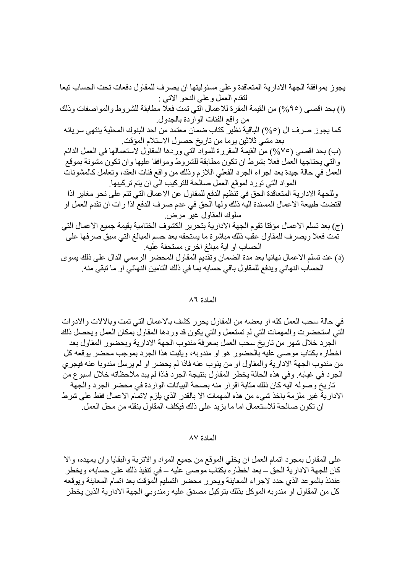في حالة سحب العمل كله او بعضه من المقاول بحرير كشف بالاعمال التي تمت وبالالات والادوات التي استحضرت والمهمات التي لم تستعمل والتي يكون قد وردها المقاول بمكان العمل ويحصل ذلك الجرد خلال شهر من تاريخ سحب العمل بمعرِّفة مندوب الجهة الادارية وبحضور المقاول بعد اخطار ه بكتاب موصبي عليه بالحضور هو او مندوبه، ويثبت هذا الجرد بموجب محضر يوقعه كل من مندوب الجهة الادارية والمقاول او من ينوب عنه فاذا لم يحضر او لم يرسل مندوبا عنه فيجرى الجر د في غيابه ٍ و في هذه الحالة يخطر المقاول بنتيجة الجر د فاذا لم بيد ملاحظاته خلال اسبو ع من تاريخ وصوله اليه كان ذلك مثابة اقرار منه بصحة البيانات الواردة في محضر الجرد والجهّة الادارية غير ملزمة باخذ شيء من هذه المهمات الا بالقدر الذي يلزم لاتمام الاعمال فقط على شرط ان تكون صالحة للاستعمال اما ما يزيد على ذلك فيكلف المقاول بنقله من محل العمل.

## المادة ٨٧

على المقاول بمجرد اتمام العمل ان يخلي الموقع من جميع المواد والاتربة والبقايا وان يمهده، والا كان للجهة الادارية الحق – بعد اخطار ه بكتاب موصىي عليه – في تنفيذ ذلك على حسابه، ويخطر عندئذ بالموعد الذي حدد لاجراء المعاينة ويحرر محضر التسليم المؤقت بعد اتمام المعاينة ويوقعه كل من المقاول او ٍ مندوبِه الموكل بذلك بتوكيل مصدق عليه ومندوبي الجهة الادار ية الذين يخطر ِ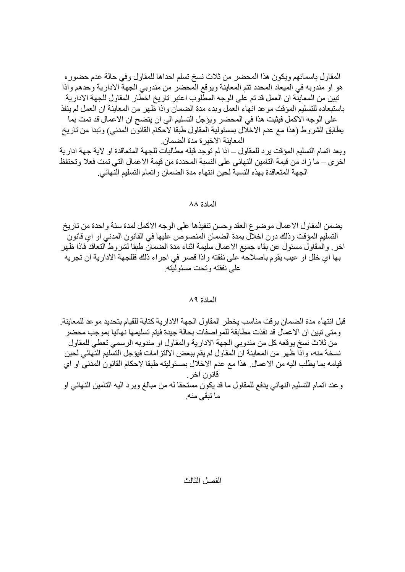المقاول باسمائهم ويكون هذا المحضر من ثلاث نسخ تسلم احداها للمقاول وفي حالة عدم حضور ه هو او مندوبه في الميعاد المحدد تتم المعاينة ويوقع المحضر من مندوبي الجهة الادارية وحدهم واذا تبين من المعاينة ان العمل قد تم على الوجه المطلوب اعتبر تاريخ اخطار المقاول للجهة الادارية باستبعاده للتسليم المؤقت موعد انهاء العمل وبدء مدة الضمان وإذا ظهر من المعاينة ان العمل لم ينفذ على الوجه الاكمل فيثبت هذا في المحضر ويؤجل التسليم الى ان يتضح ان الاعمال قد تمت بما يطابق الشروط (هذا مع عدم الاخلال بمسئولية المقاول طبقا لاحكام القانون المدنى) وتبدا من تاريخ

المعاينة الاخيرة مدة الضمان. وبعد اتمام التسليم المؤقت يرد للمقاول ــ اذا لم توجد قبله مطالبات للجهة المتعاقدة او لاية جهة ادارية اخر ي ــ ما زاد من قيمة التامين النهائي على النسبة المحددة من قيمة الاعمال التي تمت فعلا وتحتفظ الجهة المتعاقدة بهذه النسبة لحين انتهاء مدة الضمان واتمام التسليم النهائي.

## المادة ٨٨

يضمن المقاول الاعمال موضوع العقد وحسن ننفيذها على الوجه الاكمل لمدة سنة واحدة من تاريخ التسليم المؤقت وذلك دون اخلال بمدة الضمان المنصوص عليها في القانون المدنى او اي قانون ً اخر ِ والمقاول مسئول عن بقاء جميع الاعمال سليمة اثناء مدة الضمان طبقا لشروط التعاقد فاذا ظهر بها اي خلَّل او عيب يقوم باصلاحه على نفقته واذا قصر في اجراء ذلك فللجهة الادارية ان تجريه على نفقته وتحت مسئوليته

## المادة ٨٩

قبل انتهاء مدة الضمان بوقت مناسب يخطر المقاول الجهة الادار ية كتابة للقيام بتحديد مو عد للمعاينة ِ ومتي تبين ان الاعمال قد نفذت مطابقة للمو اصفات بحالة جيدة فيتم تسليمها نهائيا بموجب محضر من ثلاث نسخ يوقعه كل من مندوبي الجهة الادارية والمقاول او مندوبه الرسمي تعطي للمقاول نسخة منه، واذا ظهر من المعاينة ان المقاول لم يقم ببعض الالتزامات فيؤجل التسليم النهائي لحين قيامه بما يطلب اليه من الاعمال. هذا مع عدم الاخلال بمسئوليته طبقا لاحكام القانون المدنى او اي قانون اخر و عند اتمام التسليم النهائي يدفع للمقاول ما قد يكون مستحقا له من مبالغ وير د اليه التامين النهائي او

ما تبقى منه.

## الفصل الثالث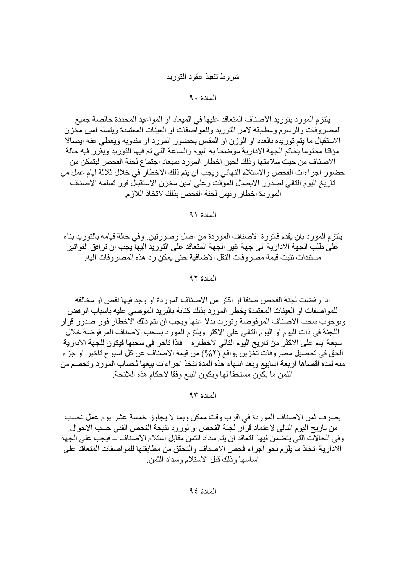# شروط تنفيذ عقود التوريد

## المادة ٩٠

يلتز م المو ر د بنو ر بد الاصناف المتعاقد عليها في الميعاد او المو اعيد المحددة خالصة جميع المصروفات والرسوم ومطابقة لامر التوريد وللمواصفات او العينات المعتمدة ويتسلم امين مخزن الاستقبال ما يتم توريده بالعدد او الوزن او المقاس بحضور المورد او مندوبه ويعطي عنه ايصالا مؤقتا مختوما بخاتم الجهة الادارية موضحا به اليوم والساعة التي تم فيها التوريد ويقرر فيه حالة الاصناف من حيث سلامتها وذلك لحين اخطار المورد بمبعاد اجتماع لجنة الفحص ليتمكن من حضور اجراءات الفحص والاستلام النهائي ويجب ان يتم ذلك الاخطار في خلال ثلاثة ايام عمل من تاريخ اليوم التالي لصدور الايصال المؤقت وعلى امين مخزن الاستقبال فور تسلمه الاصناف الموردة اخطار رئيس لجنة الفحص بذلك لاتخاذ اللازم

المعادة ٩١

يلتز م المور د بان يقدم فاتور ة الاصناف المور دة من اصل وصور تين. و في حالة قيامه بالتور يد بناء على طلب الجهة الادارية الى جهة غير الجهة المتعاقد على التوريد اليها يجب ان ترافق الفواتير مستندات تثبت قيمة مصر وفات النقل الاضافية حتى يمكن ر دهذه المصر وفات اليه

## المادة ٩٢

اذا رفضت لجنة الفحص صنفا او اكثر من الاصناف الموردة او وجد فيها نقص او مخالفة للمواصفات او العينات المعتمدة يخطر المورد بذلك كتابة بالبريد الموصبي عليه باسباب الرفض وبوجوب سحب الاصناف المر فوضة وتوريد بدلا عنها ويجب ان يتم ذلك الاخطار فور صدور قرار اللجنة في ذات اليوم او اليوم التالي على الاكثر ويلتزم المورد بسحب الاصناف المر فوضة خلال سبعة ايام على الاكثر من تاريخ اليوم التالي لاخطار ٥ – فاذا تاخر في سحبها فيكون للجهة الادارية الحق في تحصيل مصر وفات تخزين بواقع (٢%) من قيمة الاصناف عن كل اسبوع تاخير او جزء منه لمدة اقصاها اربعة اسابيع وبعد انتهاء هذه المدة تتخذ اجراءات بيعها لحساب المورد وتخصم من الثمن ما يكون مستحقا لها ويكون البيع وفقا لاحكام هذه اللائحة ِ

المادة ٩٣

يصرف ثمن الاصناف الموردة في اقرب وقت ممكن وبما لا يجاوز خمسة عشر يوم عمل تحسب من تاريخ اليوم التالي لاعتماد قرار لجنة الفحص او لورود نتيجة الفحص الفني حسب الاحوال. وفي الحالات التي يتضمن فيها التعاقد ان يتم سداد الثمن مقابل استلام الاصناف ــ فيجب على الجهة الادارية اتخاذ ما يلزم نحو اجراء فحص الاصناف والتحقق من مطابقتها للمواصفات المتعاقد على اساسها وذلك قبل الاستلام وسداد الثمن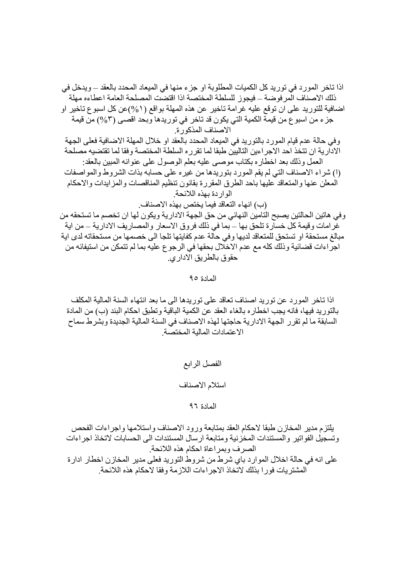اذا تاخر المورد في توريد كل الكميات المطلوبة او جزء منها في الميعاد المحدد بالعقد ــ ويدخل في ذلك الاصناف المر فوضة – فيجوز للسلطة المختصة اذا اقتضت المصلحة العامة اعطاءه مهلة اضافية للتوريد على ان توقع عليه غرامة تاخير ٍ عن هذه المهلة بواقع ( ٥/٥)عن كل اسبوع تاخير او جزء من اسبو ع من قيمة الكمية التي يكون قد تاخر في توريدها وبحد اقصـي (٣%) من قيمة الاصناف المذكورة.

وفي حالة عدم قيام المورد بالتوريد في الميعاد المحدد بالعقد او خلال المهلة الاضافية فعلى الجهة الادارية ان تتخذ احد الاجر اءين التاليين طبقا لما تقر ر ه السلطة المختصة و فقا لما تقتضيه مصلحة العمل وذلك بعد اخطاره بكتاب موصبي عليه بعلم الوصول على عنوانه المبين بالعقد: (۱) شراء الاصناف التي لم يقم المورد بتوريدها من غيره على حسابه بذات الشروط والمواصفات المعلن عنها والمتعاقد عليها باحد الطرق المقررة بقانون تنظيم المناقصات والمزايدات والاحكام

الوار دة يهذه اللائحة

(ب) انهاء التعاقد فيما يختص بهذه الاصناف

و في هاتين الحالتين يصبح التامين النهائي من حق الجهة الادارية ويكون لها ان تخصم ما تستحقه من غرامات وقيمة كل خسارة تلحق بها – بما في ذلك فروق الاسعار والمصاريف الادارية – من اية مبالغ مستحقة او تستحق للمتعاقد لديها وفي حالة عدم كفايتها تلجا الى خصمها من مستحقاته لدى اية اجراءات قضائية وذلك كله مع عدم الاخلال بحقها في الرجوع عليه بما لم تتمكن من استيفائه من حقو ق بالطر يق الادار ي

المادة ٩٥

اذا تاخر المورد عن توريد اصناف تعاقد على توريدها الى ما بعد انتهاء السنة المالية المكلف بالتوريد فيها، فانه يجب اخطار ه بالغاء العقد عن الكمية الباقية وتطبق احكام البند (ب) من المادة السابقة ما لم تقرر الجهة الادارية حاجتها لهذه الاصناف في السنة المالية الجديدة وبشرط سماح الاعتمادات المالية المختصة

> الفصل الرابع استلام الاصناف

> > المادة ٩٦

بلتز م مدير المخاز ن طبقا لاحكام العقد بمتابعة و رو د الاصناف و استلامها و اجر اءات الفحص وتسجيل الفواتير والمستندات المخزنية ومنابعة ارسال المستندات الى الحسابات لاتخاذ اجراءات الصرف وبمراعاة احكام هذه اللائحة. على انه في حالة اخلال المو ار د باي شر ط من شر و ط النو ر بد فعلي مدير المخاز ن اخطار ادار ة المشتر يات فور ا بذلك لاتخاذ الاجر اءات اللاز مة و فقا لاحكام هذه اللائحة.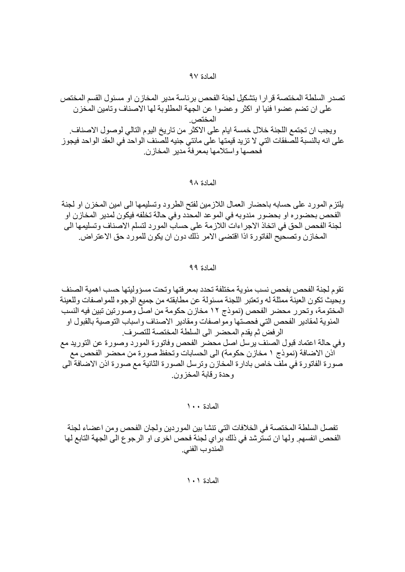j@ ( b(@ 
%9j17 B H <g@ Y( %? >@ P ?uQ\$ Y B P a VT 0a a? I j@ I uQ\$bQ / 3 m
?PVT\$ 3
(Rb"RB cB?oB B 0%K % /0%K l 8 O/9 %
>?\$/ 7 =( 8 I @ 
%0"10

# المادة ۹۸

يلتزم المورد على حسابه باحضار العمال اللازمين لفتح الطرود وتسليمها الى امين المخزن او لجنة الفحص بحضور ه او بحضور مندوبه في الموعد المحدد وفي حالة تخلفه فيكون لمدير المخازن او لجنة الفحص الحق في اتخاذ الاجراءات اللازمة على حساب المورد لتسلم الاصناف وتسليمها الى المخازن وتصحيح الفاتورة اذا اقتضى الامر ذلك دون ان يكون للمورد حق الاعتراض ِ

## المادة ۹۹

l Lo(K y(S1?0-%1?7@
o(j17j17 B 3? 7Q CO c OP8YP (B =?8 V <?z 1 o( 8 0P =?P ?QHQP<K@':seFj17 a11?U@ b= Q Z=uQ\$
-7Q10/ j17 
- I u @ Y( a1 3%
v\_0 c% P 2Q- 2?0j17 a1HQH
l b=- K/0 cj17 a1P2Q]71?(1 G<K@'seF0\\$e 0\\$e2Qc V 2 H?@ 2-^Rl/02?7 2Q I >@ 2%K

الممادة ١٠٠

تفصل السلطة المختصـة في الخلافات التي تنشا بين الموردين ولجان الفحص ومن اعضـاء لجنة الفحص انفسهم ولها ان تسترشد في ذلك براي لجنة فحص اخرى او الرجوع الى الجهة التابع لها المندوب الفني.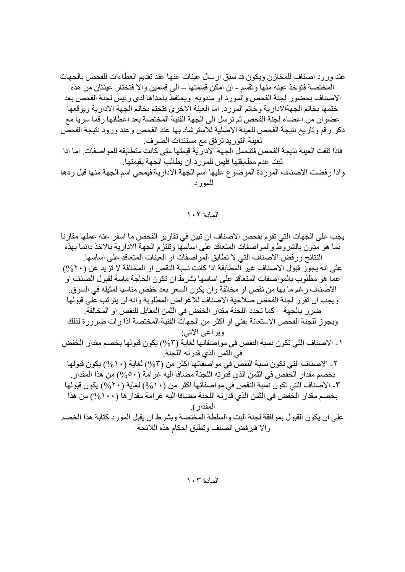فادا تلقت العينه نتيجه الفحص فتنحمل الجهه الاداريه فيمنها منى كانت منطابقه للمواصفات. اما ادا<br>ثبت عدم مطابقتها فليس للمورد ان يطالب الجهة بقيمتها.<br>واذا رفضت الاصناف الموردة الموضوع عليها اسم الجهة الادارية فيمحي اسم الجهة

# المادة ١٠٢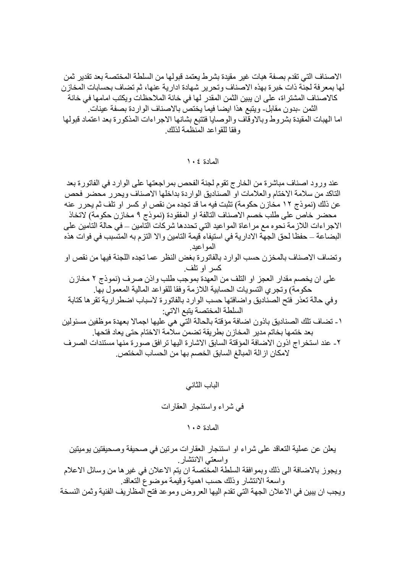الاصناف التي تقدم بصفة هبات غير مقيدة بشرط يعتمد قبولها من السلطة المختصبة بعد تقدير ثمن لها بمعرفة لجنَّة ذات خبرة بهذه الاصناف وتحرير شهادة ادارية عنها، ثم تضاف بحسابات الْمَخارْن كالاصناف المشتر اة، على ان يبين الثمن المقدر لها في خانة الملاحظات ويكتب امامها في خانة الثمن -بدون مقابل- ويتبع هذا ايضا فيما يختص بالاصناف الوار دة بصفة عينات ِ اما الهبات المقيدة بشروط وبالاوقاف والوصايا فتتبع بشانها الاجراءات المذكورة بعد اعتماد قبولها وفقا للقواعد المنظمة لذلك

المعادة ١٠٤

عند ورود اصناف مباشرة من الخارج تقوم لجنة الفحص بمر اجعتها على الوارد في الفاتورة بعد التاكد من سلامة الاختام والعلامات او الصناديق الواردة بداخلها الاصناف ويحرر محضر فحص عن ذلك (نمو ذج ١٢ مخاز ن حكو مة) تثبت فيه ما قد تجده من نقص او كسر او تلف ثم يحر ر عنه محضر خاص على طلب خصم الاصناف التالفة او المفقودة (نموذج ٩ مخازن حكومة) لاتخاذ الاجر اءات اللازمة نحوه مع مر اعاة المواعيد التي تحددها شركات التامين ــ في حالة التامين على البضاعة ــ حفظا لحق الجهة الادارية في استيفاء قيمة التامين والا التزم به المتسبب في فوات هذه المو اعبد وتضاف الاصناف بالمخزن حسب الوارد بالفاتورة بغض النظر عما تجده اللجنة فيها من نقص او کسر او تلف على ان يخصم مقدار العجز او التلف من العهدة بموجب طلب واذن صر ف (نموذج ٢ مخاز ن حكومة) وتجري التسويات الحسابية اللازمة وفقا للقواعد المالية المعمول بها. وفي حالة تعذر فتح الصناديق وإضافتها حسب الوارد بالفاتورة لاسباب اضطر ارية تقرها كتابة السلطة المختصة يتبع الاتي: ١ ـ تضاف تلك الصناديق باذون اضافة مؤقتة بالحالة التي هي عليها اجمالا بعهدة موظفين مسئولين بعد ختمها بخاتم مدير المخاز ن بطر يقة تضمن سلامة الاختام حتى يعاد فتحها. ٢- عند استخراج اذون الاضافة المؤقتة السابق الاشارة اليها ترافق صورة منها مستندات الصرف لامكان از الة المبالغ السابق الخصم بها من الحساب المختص.

الباب الثاني

في شراء واستئجار العقارات

المادة ١٠٥

يعلن عن عملية التعاقد على شراء او استئجار العقارات مرتين في صحيفة وصحيفتين يوميتين واسعتي الانتشار ويجوز بالاضافة الى ذلك وبموافقة السلطة المختصة ان يتم الاعلان في غير ها من وسائل الاعلام واسعة الانتشار وذلك حسب اهمية وقيمة موضوع النعاقد ويجب ان يبين في الاعلان الجهة التي تقدم اليها العروض وموعد فتح المظاريف الفنية وثمن النسخة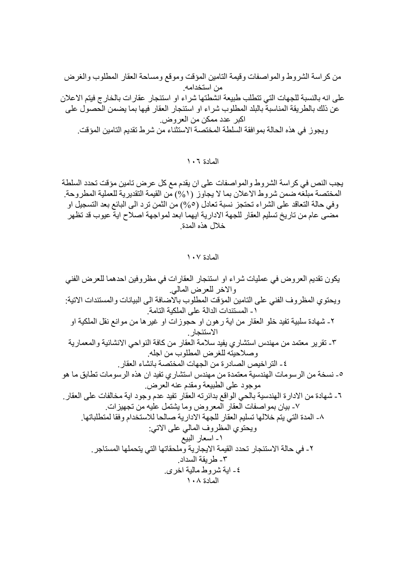من كراسة الشروط والمواصفات وقيمة التامين المؤقت وموقع ومساحة العقار المطلوب والغرض من استخدامه. على انه بالنسبة للجهات التي تتطلب طبيعة انشطتها شراء او استئجار عقارات بالخارج فيتم الاعلان عن ذلك بالطريقة المناسبة بالبلد المطلوب شراء او استئجار العقار فيها بما يضمن الحصول على اكبر عدد ممكن من العر و ض. ويجوز في هذه الحالة بموافقة السلطة المختصة الاستثناء من شرط تقديم التامين المؤقت.

المادة ١٠٦

يجب النص في كراسة الشروط والمواصفات على ان يقدم مع كل عرض تامين مؤقت تحدد السلطة المختصـة مبلغّه ضمن شروط الاعلان بما لا يجاوز (٥/٥) من القيمة التقديرية للعملية المطروحة. وفي حالة التعاقد على الشراء تحتجز نسبة تعادل (0%) من الثمن ترد الى البائع بعد التسجيل او مضَّى عام من تاريخ تسليم العقار للجهة الادارية ايهما ابعد لمواجهة اصلاح ايةٌ عيوب قد تظهر خلال هذه المدة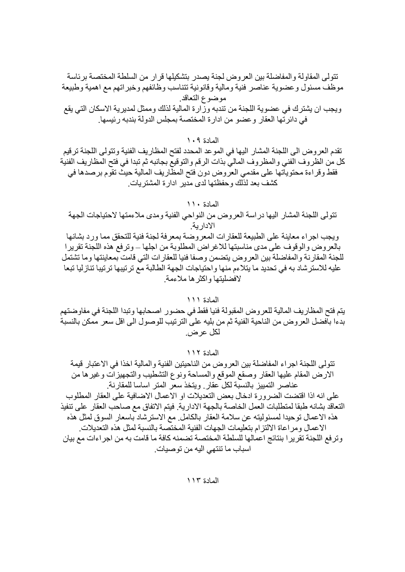تتولى المقاولة والمفاضلة بين العروض لجنة يصدر بتشكيلها قرار من السلطة المختصة برئاسة موظَّف مسئول وعضوية عناصر فنيَّة ومالية وقانونية تتناسب وظائفهم وخبراتهم مع اهمية وطبيعة موضوع التعاقد ويجب ان يشتر ك في عضوية اللجنة من تندبه وزارة المالية لذلك وممثل لمديرية الاسكان التي يقع في دائر تها العقار و عضو من ادار ة المختصة بمجلس الدولة بندبه ر ئيسها.

المادة ١٠٩

تقدم العروض الى اللجنة المشار اليها في الموعد المحدد لفتح المظاريف الفنية وتتولى اللجنة ترقيم كل من الظروف الفني والمظروف المالي بذات الرقم والتوقيع بجانبه ثم تبدا في فتح المظاريف الفنية فقط وقراءة محتوياتها على مقدمي العروض دون فتح المظاريف المالية حيث تقوم برصدها في كشف بعد لذلك وحفظتها لدى مدير ادارة المشتريات.

## المادة ١١٠

تتولى اللجنة المشار اليها دراسة العروض من النواحي الفنية ومدى ملاءمتها لاحتياجات الجهة الادار بة

ويجب اجراء معاينة على الطبيعة للعقارات المعروضة بمعرفة لجنة فنية للتحقق مما ورد بشانها بالعروض والوقوف على مدى مناسبتها للاغراض المطلوبة من اجلها ــ وترفع هذه اللجنة تقريرا للجنة المقارنة والمفاضلة بين العروض يتضمن وصفا فنيا للعقارات التي قامت بمعاينتها وما تشتمل عليه للاسترشاد به في تحديد ما يتلاءم منها واحتياجات الجهة الطالبة مع ترتيبها ترتيبا تنازليا تبعا لافضليتها واكثر ها ملاءمة

#### المادة ١١١

يتم فتح المظاريف المالية للعروض المقبولة فنيا فقط في حضور اصحابها وتبدا اللجنة في مفاوضتهم بدءا بافضل العروض من الناحية الفنية ثم من بليه على الترتيب للوصول الى اقل سعر ممكن بالنسبة لكل عر ض

المادة ١١٢

تتولَّى اللَّجنة اجرٍ اء المفاضلة بين العروض من الناحيتين الفنية و المالية اخذا في الاعتبار ٍ فيمة الار ض المقام عليها العقار وصقع الموقع والمساحة ونوع التشطيب والتجهيز ات و غير ها من عناصر التمبيز بالنسبة لكل عقار ويتخذسعر المتر اساسا للمقارنة على انه اذا اقتضت الضرور ة ادخال بعض التعديلات او الاعمال الاضافية على العقار المطلوب النعاقد بشانه طبقا لمتطلبات العمل الخاصة بالجهة الادارية. فيتم الاتفاق مع صاحب العقار على تنفيذ هذه الاعمال توحيدا لمسئوليته عن سلامة العقار بالكامل مع الاسترشاد باسعار السوق لمثل هذه الاعمال ومر اعاة الالتز ام بتعليمات الجهات الفنية المختصة بالنسبة لمثل هذه التعديلات. وترفع اللجنة تقريرا بنتائج اعمالها للسلطة المختصة تضمنه كافة ما قامت به من اجراءات مع بيان اسباب ما نتتهى اليه من توصيات.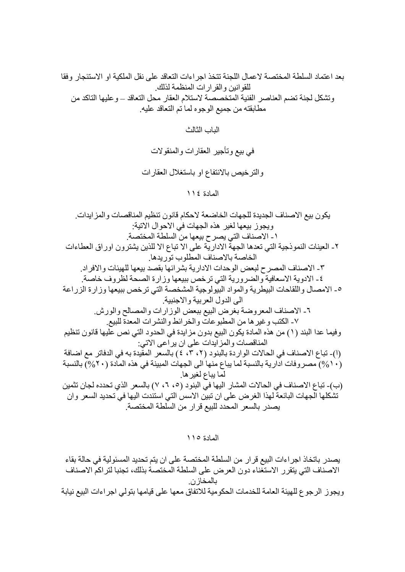بعد اعتماد السلطة المختصة لاعمال اللجنة تتخذ اجراءات التعاقد على نقل الملكية او الاستئجار وفقا للقو انين و القر ار ات المنظمة لذلك ِ وتشكل لجنة تضم العناصر الفنية المتخصصة لاستلام العقار محل التعاقد ــ و عليها التاكد من مطابقته من جميع الوجوه لما تم التعاقد عليه.

الياب الثالث

في بيع وتأجير العقارات والمنقولات والترخيص بالانتفاع او باستغلال العقارات

المادة ١١٤

يكون بيع الاصناف الجديدة للجهات الخاضعة لاحكام قانون تنظيم المناقصات والمزايدات ويجوز بيعها لغير هذه الجهات في الاحوال الاتية: ١ ـ الاصناف التي يصر ح بيعها من السلطة المختصة. ٢- العينات النموذجية التي تعدها الجهة الاداريّة على الا تباع الا للذين يشترون اوراق العطاءات الخاصة بالاصناف المطلوب توريدها ٣- الاصناف المصر ح لبعض الوحدات الادارية بشر ائها بقصد بيعها للهيئات والافراد. ٤ ـ الادوية الاسعافية والضرورية التي ترخص ببيعها وزارة الصحة لظروف خاصة. ٥- الامصال واللقاحات البيطرية والمواد البيولوجية المشخصة التي ترخص ببيعها وزارة الزراعة الى الدول العربية والاجنبية ٦- الاصناف المعروضة بغرض البيع ببعض الوزارات والمصالح والورش. ٧- الكتب و غير ها من المطبو عاتٌ والخر ائط والنشر ات المعدة للبيع. و فيما عدا البند (١) من هذه المادة يكون البيع بدون مز ابدة في الحدود التي نص عليها قانون تنظيم المناقصات والمزآيدات على ان يرآعي الاتي: (١)- تباع الاصناف في الحالات الواردة بالبنود (٢، ٣، ٤) بالسعر المقيدة به في الدفاتر مع اضافة (١٠/٥) مصر وفات ادارية بالنسبة لما يباع منها الى الجهات المبينة في هذه المادة (٢٠/٥) بالنسبة لما يباع لغير ها. (ب)- تباع الاصناف في الحالات المشار اليها في البنود (٥، ٦، ٧) بالسعر الذي تحدده لجان تثمين تشكلها الجهات البائعة لهذا الغرض على ان تبين الاسس التي استندت اليها في تحديد السعر وان يصدر بالسعر المحدد للبيع قرار من السلطة المختصة.

المادة ١١٥

يصدر باتخاذ اجراءات البيع قرار من السلطة المختصة على ان يتم تحديد المسئولية في حالة بقاء الاصناف التي يتقرر الاستغناء دون العرض على السلطة المختصة بذلك، تجنبا لتراكم الاصناف بالمخاز ن ويجوز الرجوع للهيئة العامة للخدمات الحكومية للاتفاق معها على قيامها بتولى اجراءات البيع نيابة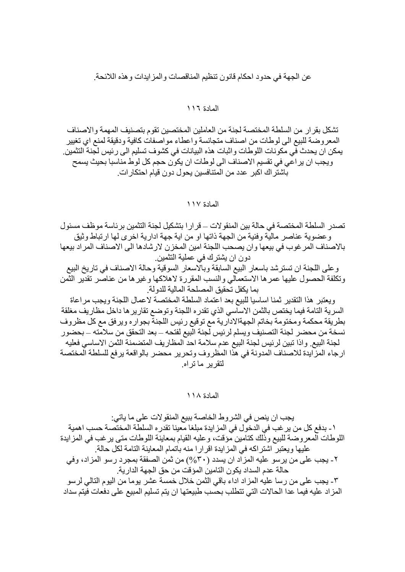عن الجهة في حدود احكام قانون تنظيم المناقصات والمز ايدات و هذه اللائحة.

## المادة ١١٦

تشكل بقر ار من السلطة المختصبة لجنة من العاملين المختصين تقو م بتصنيف المهمة و الاصناف المعروضة للبيع الى لوطات من اصناف متجانسة واعطاء مواصفات كافية ودقيقة لمنع اي تغيير يمكن ان يحدث في مكونات اللوطات واثبات هذه البيانات في كشوف تسليم الى رئيس لجنة التثمين. ويجب ان ير اعي في تقسيم الاصناف الى لوطات ان يكون حجم كل لوط مناسبا بحيث يسمح باشتر اك اكبر عدد من المتنافسين يحول دون قيام احتكار ات.

## المادة ١١٧

تصدر السلطة المختصة في حالة بين المنقولات ــ قر ار ا بتشكيل لجنة التثمين بر ئاسة موظف مسئول و عضوية عناصر مالية وفنية من الجهة ذاتها او من اية جهة ادارية اخرى لها ارتباط وثيق بالاصناف المرغوب في بيعها وان يصحب اللجنة امين المخزن لارشادها الى الاصناف المراد بيعها دون ان يشترك في عملية التثمين.

وعلى اللجنة ان تسترشد باسعار البيع السابقة وبالاسعار السوقية وحالة الاصناف في تاريخ البيع وتكلفة الحصول عليها عمرها الاستعمالي والنسب المقررة لاهلاكها وغيرها من عناصر تقدير الثمن يما بكفل تحقيق المصلحة المالية للدولة.

ويعتبر هذا التقدير ثمنا اساسيا للبيع بعد اعتماد السلطة المختصة لاعمال اللجنة ويجب مر اعاة السرية التامة فيما يختص بالثمن الاساسي الذي تقدره اللجنة وتوضع تقارير ها داخل مظاريف مغلقة بطريقة محكمة ومختومة بخاتم الجهةالادارية مع توقيع رئيس اللجنة بجواره ويرفق مع كل مظروف نسخة من محضر ٍ لجنة التصنيف ويسلم لر ئيس لجنة البيع لفتحه ــ بعد التحقق من سلامته ــ بحضور ِ لجنة البيع واذا تبين لرئيس لجنة البيع عدم سلامة احد المظاريف المتضمنة الثمن الاساسي فعليه ارجاء المزايدة للاصناف المدونة في هذا المظروف وتحرير محضر بالواقعة يرفع للسلطة المختصة لتقرير ماتراه

## المادة ١١٨

يجب ان ينص في الشروط الخاصة ببيع المنقو لات على ما ياتي: ١ ـ بدفع كل من ير غب في الدخول في المزايدة مبلغا معينا تقدره السلطة المختصىة حسب اهمية اللوطات المعروضة للبيع وذلك كتامين مؤقت، وعليه القيام بمعاينة اللوطات متى يرغب في المزايدة عليها ويعتبر اشتراكه في المزايدة اقرارا منه باتمام المعاينة التامة لكل حالة. ٢- يجب على من ير سو عليه المزاد ان يسدد (٣٠%) من ثمن الصفقة بمجرد رسو المزاد، وفي حالة عدم السداد يكون التامين المؤقت من حق الجهة الدار ية. ٣- يجب على من رسا عليه المز اد اداء باقي الثمن خلال خمسة عشر يوما من اليوم التالي لرسو المزاد عليه فيما عدا الحالات التي تتطلب بحسب طبيعتها ان يتم تسليم المبيع على دفعات فيتم سداد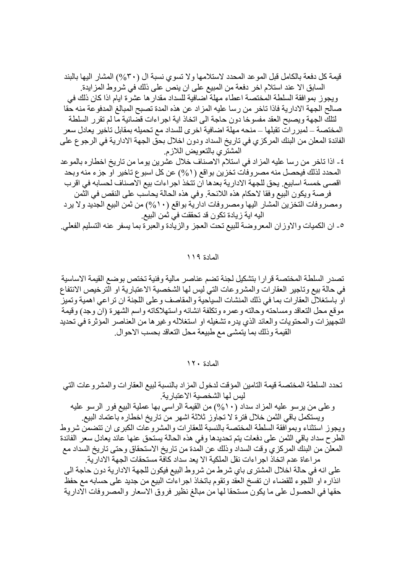قيمة كل دفعة بالكامل قبل الموعد المحدد لاستلامها ولا تسوى نسبة ال (٣٠%) المشار اليها بالبند السابق الا عند استلام اخر دفعة من المبيع على ان ينص على ذلك في شروط المزايدة. ويجوز بموافقة السلطة المختصة اعطاء مهلة اضافية للسداد مقدار ها عشرة ايام اذا كان ذلك في صـالح الجهة الادار ية فاذا تاخر ٍ من رسا عليه المزاد عن هذه المدة تصبح المبالغ المدفوعة منه حقا لتلك الجهة ويصبح العقد مفسوخا دون حاجة الى اتخاذ اية اجراءات قضائية ما لم تقرر السلطة المختصـة ـــ لمبر رات تقبلها ـــ منحه مهلة اضـافية اخر ي للسداد مـع تـحميله بمقابل تاخير يعادل سعر الفائدة المعلن من البنك المركزي في تاريخ السداد ودون اخلال بحق الجهة الادارية في الرجو ع على المشتري بالتعويض اللازم. ٤- اذا تاخر من رسا عليه المزاد في استلام الاصناف خلال عشرين يوما من تاريخ اخطار ه بالموعد

المحدد لذلك فيحصل منه مصر وفات تخزين بواقع (٥/٥) عن كل اسبوع تاخير او جزء منه وبحد اقصبي خمسة اسابيع. يحق للجهة الادارية بعدها ان تتخذ اجر اءات بيع الاصناف لحسابه في اقرب فرصة ويكون البيع وفقا لاحكام هذه اللائحة. وفي هذه الحالة يحاسب على النقص في الثمن ومصر وفات التخزين المشار اليها ومصر وفات ادارية بواقع (١٠%) من ثمن البيع الجديد ولا يرد اليه اية زيادة تكون قد تحققت في ثمن البيع.

٥- ان الكميات والاوزان المعروضة للبيع تحت العجز والزيادة والعبرة بما يسفر عنه التسليم الفعلي.

المادة ١١٩

تصدر السلطة المختصة قرارا بتشكيل لجنة تضم عناصر مالية وفنية تختص بوضع القيمة الاساسية في حالة بيع وتاجير العقارات والمشروعات التي ليس لها الشخصية الاعتبارية او الّترخيص الانتفاع او باستغلال العقار ات بما في ذلك المنشات السياحية والمقاصف و على اللجنة ان تر اعي اهمية وتميز موقع محل التعاقد ومساحته وحالته وعمره وتكلفة انشائه واستهلاكاته واسم الشهرة (ان وجد) وقيمة التجهيزات والمحتويات والعائد الذي يدره تشغيله او استغلاله وغير ها من العناصر المؤثرة في تحديد القيمة وذلك بما يتمشى مع طبيعة محل التعاقد بحسب الاحوال.

المادة ١٢٠

تحدد السلطة المختصة قيمة التامين المؤقت لدخول المزاد بالنسبة لبيع العقارات والمشروعات التي ليس لها الشخصية الاعتبارية.

وعلى من يرسو عليه المزاد سداد (١٠%) من القيمة الراسي بها عملية البيع فور الرسو عليه ويستكمل باقي الثمن خلال فترة لا تجاوز ثلاثة اشهر من تاريخ اخطاره باعتماد البيع

ويجوز استثناء وبموافقة السلطة المختصة بالنسبة للعقارات والمشروعات الكبرى ان تتضمن شروط الطرح سداد باقي الثمن على دفعات يتم تحديدها وفي هذه الحالة يستحق عنها عائد يعادل سعر الفائدة المعلن من البنك المركزي وقت السداد وذلك عن المدة من تاريخ الاستحقاق وحتى تاريخ السداد مع مر اعاة عدم اتخاذ اجر اءات نقل الملكية الا يعد سداد كافة مستحقات الجهة الادار ية.

على انه في حالة اخلال المشترى باي شرط من شروط البيع فيكون للجهة الادارية دون حاجة الى انذاره او اللجوء للقضاء ان تفسخ العقد وتقوم باتخاذ اجراءات البيع من جديد على حسابه مع حفظ حقها في الحصول على ما يكون مستحقا لها من مبالغ نظير فروق الاسعار والمصروفات الادارية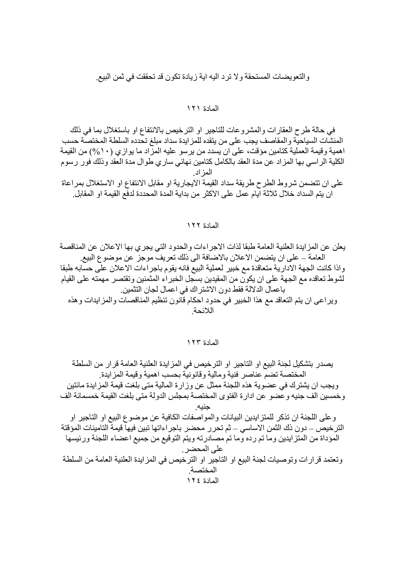والتعويضات المستحقة ولا ترد اليه اية زيادة تكون قد تحققت في ثمن البيع

## المادة ١٢١

في حالة طرح العقارات والمشروعات للتاجير او الترخيص بالانتفاع او باستغلال بما في ذلك المنشات السياحية والمقاصف يجب على من يتقده للمز ايدة سداد مبلغ تحدده السلطة المختصة حسب اهمية وقيمة العملية كتامين مؤقت، على ان يسدد من يرسو عليه المزاد ما يوازي (١٠%) من القيمة الكلية الراسي بها المزاد عن مدة العقد بالكامل كتامين نهائي ساري طوال مدة العقد وذلك فور رسوم المز اد على ان تتضمن شروط الطرح طريقة سداد القيمة الايجارية او مقابل الانتفاع او الاستغلال بمراعاة ان يتم السداد خلال ثلاثة ايام عمل على الاكثر من بداية المدة المحددة لدفع القيمة او المقابل.

## المادة ١٢٢

يعلن عن المزايدة العلنية العامة طبقا لذات الاجر اءات والحدود التي يجري بها الاعلان عن المناقصة العامة ــ على ان يتضمن الاعلان بالاضافة الى ذلك تعريف موجز عن موضو ع البيع. واذا كانت الجهة الادارية متعاقدة مع خبير لعملية البيع فانه يقوم باجر اءات الاعلان على حسابه طبقا لشوط تعاقده مع الجهة على ان يكون من المقيدين بسجل الخبر اء المثمنين وتقتصر ٍ مهمته على القيام باعمال الدلالة فقط دون الاشتراك في اعمال لجان التثمين. وير اعي ان يتم التعاقد مع هذا الخبير ً في حدود احكام قانون تنظيم المناقصات والمز ايدات و هذه اللائحة

## المادة ١٢٣

يصدر بتشكيل لجنة البيع او التاجير او الترخيص في المزايدة العلنية العامة قرار من السلطة المختصبة تضيم عناصر فنية ومالية وقانونية بحسب اهمية وقيمة المز ايدة و يجب ان يشتر ك في عضو ية هذه اللجنة ممثل عن و ز ار ة المالية متى بلغت قيمة المز ايدة مائتين وخمسين الف جنيه و عضو ٍ عن ادار ة الفتو ي المختصة بمجلس الدولة متى بلغت القيمة خمسمائة الف وعلى اللجنة ان تذكر للمتز ايدين البيانات والمواصفات الكافية عن موضوع البيع او التاجير او الترخيص – دون ذك الثمن الاساسي – ثم تحرر محضر باجر اءاتها تبين فيها قيمة التامينات المؤقتة المؤداة من المتزايدين وما تم رده وما تم مصادرته ويتم التوقيع من جميع اعضاء اللجنة ورئيسها على المحضر . و تعتمد قر ار ات و تو صيات لجنة البيع او التاجير او التر خيص في المز ايدة العلنية العامة من السلطة المختصة المادة ١٢٤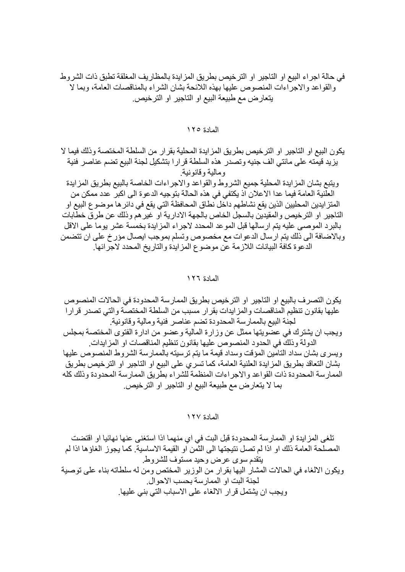في حالة اجر اء البيع او التاجير او الترخيص بطريق المز ايدة بالمظاريف المغلقة تطبق ذات الشروط والقواعد والاجراءات المنصوص عليها بهذه اللائحة بشان الشراء بالمناقصات العامة، وبما لا يتعارض مع طبيعة البيع او التاجير او الترخيص.

المادة ١٢٥

يكون البيع او التاجير او الترخيص بطريق المزايدة المحلية بقرار من السلطة المختصة وذلك فيما لا يزيد قيمته على مائتي الف جنيه وتصدر هذه السلطة قرار ا بتشكيل لجنة البيع تضم عناصر فنية ومالية وقانونية ويتبع بشان المزايدة المحلية جميع الشروط والقواعد والاجراءات الخاصة بالبيع بطريق المزايدة العلَّنية العامة فيما عدا الاعلان أذ يكتفي في هذه الحالة بتوجيه الدعوة الى اكبرٍّ عدد ممكن من المنز ايدين المحليين الذين يقع نشاطهم داخل نطاق المحافظة التي يقع في دائر ها موضو ع البيع او التاجير او الترخيص والمقيدين بالسجل الخاص بالجهة الادارية او غير هم وذلك عن طرق خطابات بالبرد الموصىي عليه يتم ارسالها قبل الموعد المحدد لاجراء المزايدة بخمسة عشر يوما على الاقل وبالاضافة الى ذلك يتم ارسال الدعوات مع مخصوص وتسلم بموجب ايصال مؤرخ على ان تتضمن الدعوة كافة البيانات اللازمة عن موضوع المزايدة والتاريخ المحدد لاجرائها.

المادة ١٢٦

يكون التصر ف بالبيع او التاجير او التر خيص بطريق الممار سة المحدودة في الحالات المنصوص عليها بقانون تنظيم المناقصات والمزايدات بقرار مسبب من السلطة المختصة والتي تصدر قرارا لجنة البيع بالممارسة المحدودة تضم عناصر فنية ومالية وقانونية ويجب ان يشتر ك في عضويتها ممثل عن وزارة المالية و عضو من ادارة الفتوى المختصة بمجلس الدولة وذلك في الحدود المنصوص عليها بقانون تنظيم المناقصات او المز ايدات. ويسرى بشان سداد التامين المؤقت وسداد قيمة ما يتم ترسيته بالممارسة الشروط المنصوص عليها بشان التعاقد بطريق المزايدة العلنية العامة، كما تسرى على البيع او التاجير او الترخيص بطريق الممارسة المحدودة ذات القواعد والاجراءات المنظمة للشراء بطريق الممارسة المحدودة وذلك كله بما لا يتعار ض مع طبيعة البيع او التاجير او التر خيص.

المادة ١٢٧

تلغي المزايدة او الممارسة المحدودة قبل البت في اي منهما اذا استغنى عنها نهائيا او اقتضت المصلحة العامة ذلك او اذا لم تصل نتيجتها الى الثمن او القيمة الاساسية. كما يجوز الغاؤها اذا لم ينقدم سوى عرض وحيد مستوف للشر وط ويكون الالغاء في الحالات المشار اليها بقرار من الوزير المختص ومن له سلطاته بناء على توصية لجنة البت او الممار سة بحسب الاحو ال ويجب ان يشتمل قرار الالغاء على الاسباب التي بني عليها.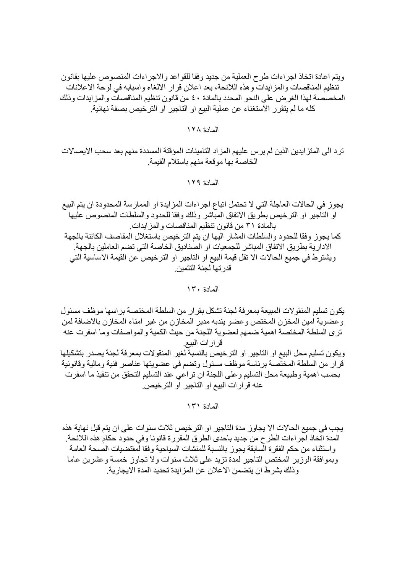ويتم اعادة اتخاذ اجراءات طرح العملية من جديد وفقا للقواعد والاجراءات المنصوص عليها بقانون تنظيم المناقصات والمزايدات وهذه اللائحة، بعد اعلان قرار الالغاء واسبابه في لوحة الاعلانات المخصصة لهذا الغرض على النحو المحدد بالمادة ٤٠ من قانون تنظيم المناقصات والمزايدات وذلك كله ما لم يتقرر الاستغناء عن عملية البيع او التاجير او الترخيص بصفة نهائية.

## المادة ١٢٨

ترد الى المتز ايدين الذين لم يرس عليهم المز اد التامينات المؤقتة المسددة منهم بعد سحب الايصـالات الخاصنة بها موقعة منهم باستلام القيمة

المادة ١٢٩

يجوز في الحالات العاجلة التي لا تحتمل اتباع اجراءات المزايدة او الممارسة المحدودة ان يتم البيع او التاجير او الترخيص بطريق الاتفاق المباشر وذلك وفقا للحدود والسلطات المنصوص عليها بالمادة ٣١ من قانون تنظيم المناقصات والمز ايدات. كما يجوز وفقا للحدود والسلطات المشار اليها ان يتم الترخيص باستغلال المقاصف الكائنة بالجهة الادارية بطريق الاتفاق المباشر للجمعيات او الصناديق الخاصة التي تضم العاملين بالجهة. ويشتر ط في جميع الحالات الا نقل قيمة البيع او التاجير او الترخيص عن القيمة الاساسية التي قدر تها لجنة التثمين.

المادة ١٣٠

يكون تسليم المنقولات المبيعة بمعرفة لجنة تشكل بقرار من السلطة المختصىة براسها موظف مسئول وعضوية امين المخزن المختص وعضو يندبه مدير المخازن من غير امناء المخازن بالاضافة لمن تر ي السلطة المختصة اهمية ضمهم لعضوية اللجنة من حيث الكمية و المو اصفات وما اسفر ت عنه قر ارات البيع. ويكون تسليم محل البيع او التاجير او الترخيص بالنسبة لغير المنقولات بمعرفة لجنة يصدر بتشكيلها قرار من السلطة المختصة برئاسة موظف مسئول وتضم في عضويتها عناصر فنية ومالية وقانونية بحسب اهمية و طبيعة محل التسليم و على اللجنة ان تر اعي عند التسليم التحقق من تنفيذ ما اسفر ت

عنه قر ار ات البيع او التاجير او التر خيص.

المادة ١٣١

يجب في جميع الحالات الا يجاوز مدة التاجير او الترخيص ثلاث سنوات على ان يتم قبل نهاية هذه المدة اتخاذ اجراءات الطرح من جديد باحدي الطرق المقررة قانونا وفي حدود حكام هذه اللائحة واستثناء من حكم الفقرة السابقة يجوز بالنسبة للمنشات السياحية وفقا لمقتضيات الصحة العامة و بمو افقة الو زير المختص التاجير المدة تزيد على ثلاث سنوات و لا تجاو ز خمسة و عشر بن عاما و ذلك بشر ط ان يتضمن الإعلان عن المز ايدة تحديد المدة الايجار ية.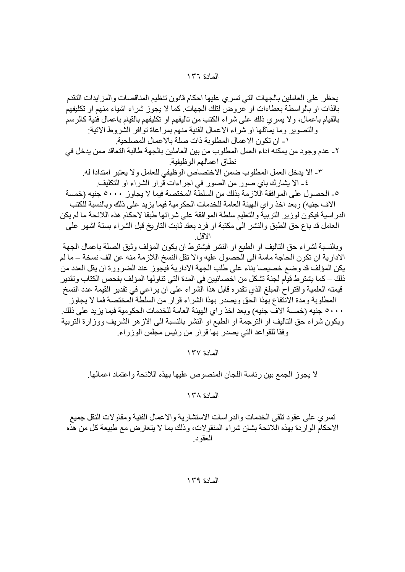المعادة ١٣٧

المادة ١٣٨

تسري على عقود تلقى الخدمات والدراسات الاستشارية والاعمال الفنية ومقاولات النقل جميع الاحكام الواردة بهذه اللائحة بشان شراء المنقولات، وذَلك بما لا يتعارض مع طبيعة كل من هذه العقود.